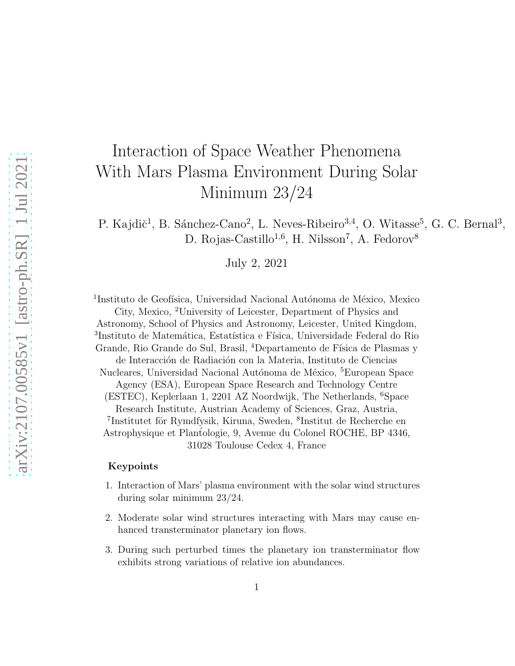# Interaction of Space Weather Phenomena With Mars Plasma Environment During Solar Minimum 23/24

P. Kajdič<sup>1</sup>, B. Sánchez-Cano<sup>2</sup>, L. Neves-Ribeiro<sup>3,4</sup>, O. Witasse<sup>5</sup>, G. C. Bernal<sup>3</sup>, D. Rojas-Castillo<sup>1,6</sup>, H. Nilsson<sup>7</sup>, A. Fedorov<sup>8</sup>

July 2, 2021

<sup>1</sup>Instituto de Geofísica, Universidad Nacional Autónoma de México, Mexico City, Mexico, <sup>2</sup>University of Leicester, Department of Physics and Astronomy, School of Physics and Astronomy, Leicester, United Kingdom, <sup>3</sup>Instituto de Matemática, Estatística e Física, Universidade Federal do Rio Grande, Rio Grande do Sul, Brasil, <sup>4</sup>Departamento de Física de Plasmas y de Interacción de Radiación con la Materia, Instituto de Ciencias Nucleares, Universidad Nacional Autónoma de México, <sup>5</sup>European Space Agency (ESA), European Space Research and Technology Centre (ESTEC), Keplerlaan 1, 2201 AZ Noordwijk, The Netherlands, <sup>6</sup>Space Research Institute, Austrian Academy of Sciences, Graz, Austria, <sup>7</sup>Institutet för Rymdfysik, Kiruna, Sweden, <sup>8</sup>Institut de Recherche en Astrophysique et Plan´tologie, 9, Avenue du Colonel ROCHE, BP 4346, 31028 Toulouse Cedex 4, France

#### Keypoints

- 1. Interaction of Mars' plasma environment with the solar wind structures during solar minimum 23/24.
- 2. Moderate solar wind structures interacting with Mars may cause enhanced transterminator planetary ion flows.
- 3. During such perturbed times the planetary ion transterminator flow exhibits strong variations of relative ion abundances.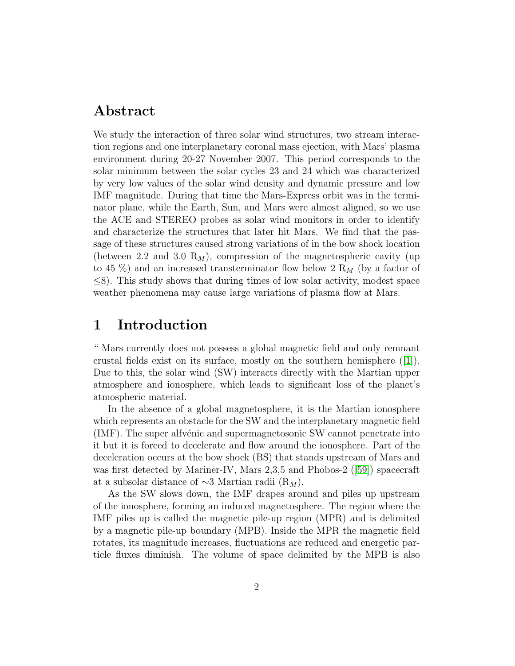### Abstract

We study the interaction of three solar wind structures, two stream interaction regions and one interplanetary coronal mass ejection, with Mars' plasma environment during 20-27 November 2007. This period corresponds to the solar minimum between the solar cycles 23 and 24 which was characterized by very low values of the solar wind density and dynamic pressure and low IMF magnitude. During that time the Mars-Express orbit was in the terminator plane, while the Earth, Sun, and Mars were almost aligned, so we use the ACE and STEREO probes as solar wind monitors in order to identify and characterize the structures that later hit Mars. We find that the passage of these structures caused strong variations of in the bow shock location (between 2.2 and 3.0  $R_M$ ), compression of the magnetospheric cavity (up to 45 %) and an increased transterminator flow below 2  $R_M$  (by a factor of  $\leq$ 8). This study shows that during times of low solar activity, modest space weather phenomena may cause large variations of plasma flow at Mars.

## 1 Introduction

" Mars currently does not possess a global magnetic field and only remnant crustal fields exist on its surface, mostly on the southern hemisphere ([\[1\]](#page-28-0)). Due to this, the solar wind (SW) interacts directly with the Martian upper atmosphere and ionosphere, which leads to significant loss of the planet's atmospheric material.

In the absence of a global magnetosphere, it is the Martian ionosphere which represents an obstacle for the SW and the interplanetary magnetic field (IMF). The super alfv´enic and supermagnetosonic SW cannot penetrate into it but it is forced to decelerate and flow around the ionosphere. Part of the deceleration occurs at the bow shock (BS) that stands upstream of Mars and was first detected by Mariner-IV, Mars 2,3,5 and Phobos-2 ([\[59\]](#page-37-0)) spacecraft at a subsolar distance of  $\sim$ 3 Martian radii (R<sub>M</sub>).

As the SW slows down, the IMF drapes around and piles up upstream of the ionosphere, forming an induced magnetosphere. The region where the IMF piles up is called the magnetic pile-up region (MPR) and is delimited by a magnetic pile-up boundary (MPB). Inside the MPR the magnetic field rotates, its magnitude increases, fluctuations are reduced and energetic particle fluxes diminish. The volume of space delimited by the MPB is also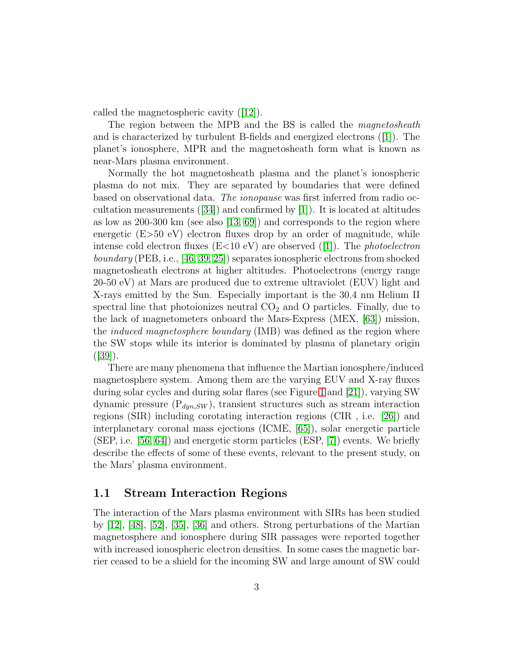called the magnetospheric cavity ([\[12\]](#page-30-0)).

The region between the MPB and the BS is called the *magnetosheath* and is characterized by turbulent B-fields and energized electrons ([\[1\]](#page-28-0)). The planet's ionosphere, MPR and the magnetosheath form what is known as near-Mars plasma environment.

Normally the hot magnetosheath plasma and the planet's ionospheric plasma do not mix. They are separated by boundaries that were defined based on observational data. The ionopause was first inferred from radio occultation measurements  $([34])$  $([34])$  $([34])$  and confirmed by [\[1\]](#page-28-0)). It is located at altitudes as low as 200-300 km (see also [\[13,](#page-30-1) [69\]](#page-38-0)) and corresponds to the region where energetic  $(E>50 eV)$  electron fluxes drop by an order of magnitude, while intense cold electron fluxes (E $<$ 10 eV) are observed ([\[1\]](#page-28-0)). The *photoelectron* boundary (PEB, i.e., [\[46,](#page-35-0) [39,](#page-34-0) [25\]](#page-32-0)) separates ionospheric electrons from shocked magnetosheath electrons at higher altitudes. Photoelectrons (energy range 20-50 eV) at Mars are produced due to extreme ultraviolet (EUV) light and X-rays emitted by the Sun. Especially important is the 30.4 nm Helium II spectral line that photoionizes neutral  $CO<sub>2</sub>$  and  $O$  particles. Finally, due to the lack of magnetometers onboard the Mars-Express (MEX, [\[63\]](#page-38-1)) mission, the induced magnetosphere boundary (IMB) was defined as the region where the SW stops while its interior is dominated by plasma of planetary origin  $([39])$  $([39])$  $([39])$ .

There are many phenomena that influence the Martian ionosphere/induced magnetosphere system. Among them are the varying EUV and X-ray fluxes during solar cycles and during solar flares (see Figure [1](#page-19-0) and [\[21\]](#page-31-0)), varying SW dynamic pressure  $(P_{dyn,SW})$ , transient structures such as stream interaction regions (SIR) including corotating interaction regions (CIR , i.e. [\[26\]](#page-32-1)) and interplanetary coronal mass ejections (ICME, [\[65\]](#page-38-2)), solar energetic particle (SEP, i.e. [\[56,](#page-37-1) [64\]](#page-38-3)) and energetic storm particles (ESP, [\[7\]](#page-29-0)) events. We briefly describe the effects of some of these events, relevant to the present study, on the Mars' plasma environment.

### 1.1 Stream Interaction Regions

The interaction of the Mars plasma environment with SIRs has been studied by [\[12\]](#page-30-0), [\[48\]](#page-36-0), [\[52\]](#page-36-1), [\[35\]](#page-34-1), [\[36\]](#page-34-2) and others. Strong perturbations of the Martian magnetosphere and ionosphere during SIR passages were reported together with increased ionospheric electron densities. In some cases the magnetic barrier ceased to be a shield for the incoming SW and large amount of SW could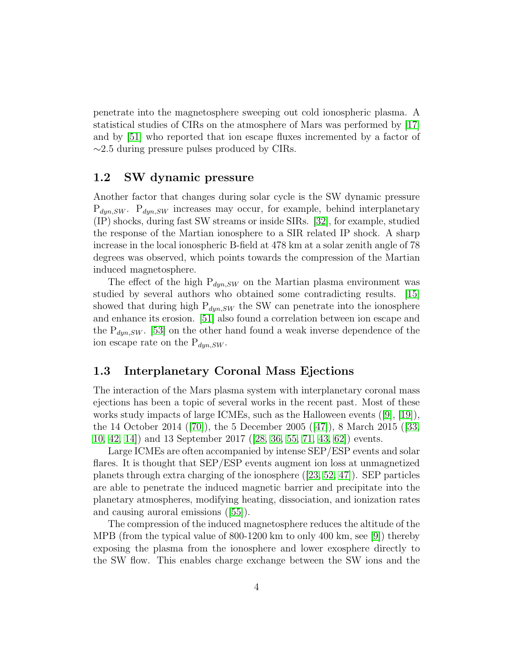penetrate into the magnetosphere sweeping out cold ionospheric plasma. A statistical studies of CIRs on the atmosphere of Mars was performed by [\[17\]](#page-30-2) and by [\[51\]](#page-36-2) who reported that ion escape fluxes incremented by a factor of  $\sim$ 2.5 during pressure pulses produced by CIRs.

#### 1.2 SW dynamic pressure

Another factor that changes during solar cycle is the SW dynamic pressure  $P_{dyn,SW}$ .  $P_{dyn,SW}$  increases may occur, for example, behind interplanetary (IP) shocks, during fast SW streams or inside SIRs. [\[32\]](#page-33-1), for example, studied the response of the Martian ionosphere to a SIR related IP shock. A sharp increase in the local ionospheric B-field at 478 km at a solar zenith angle of 78 degrees was observed, which points towards the compression of the Martian induced magnetosphere.

The effect of the high  $P_{dyn,SW}$  on the Martian plasma environment was studied by several authors who obtained some contradicting results. [\[15\]](#page-30-3) showed that during high  $P_{dyn,SW}$  the SW can penetrate into the ionosphere and enhance its erosion. [\[51\]](#page-36-2) also found a correlation between ion escape and the  $P_{dyn,SW}$ . [\[53\]](#page-36-3) on the other hand found a weak inverse dependence of the ion escape rate on the  $P_{dyn,SW}$ .

### 1.3 Interplanetary Coronal Mass Ejections

The interaction of the Mars plasma system with interplanetary coronal mass ejections has been a topic of several works in the recent past. Most of these works study impacts of large ICMEs, such as the Halloween events ([\[9\]](#page-29-1), [\[19\]](#page-31-1)), the 14 October 2014 ([\[70\]](#page-39-0)), the 5 December 2005 ([\[47\]](#page-35-1)), 8 March 2015 ([\[33,](#page-33-2) [10,](#page-29-2) [42,](#page-35-2) [14\]](#page-30-4)) and 13 September 2017 ([\[28,](#page-32-2) [36,](#page-34-2) [55,](#page-37-2) [71,](#page-39-1) [43,](#page-35-3) [62\]](#page-38-4)) events.

Large ICMEs are often accompanied by intense SEP/ESP events and solar flares. It is thought that SEP/ESP events augment ion loss at unmagnetized planets through extra charging of the ionosphere ([\[23,](#page-31-2) [52,](#page-36-1) [47\]](#page-35-1)). SEP particles are able to penetrate the induced magnetic barrier and precipitate into the planetary atmospheres, modifying heating, dissociation, and ionization rates and causing auroral emissions ([\[55\]](#page-37-2)).

The compression of the induced magnetosphere reduces the altitude of the MPB (from the typical value of 800-1200 km to only 400 km, see [\[9\]](#page-29-1)) thereby exposing the plasma from the ionosphere and lower exosphere directly to the SW flow. This enables charge exchange between the SW ions and the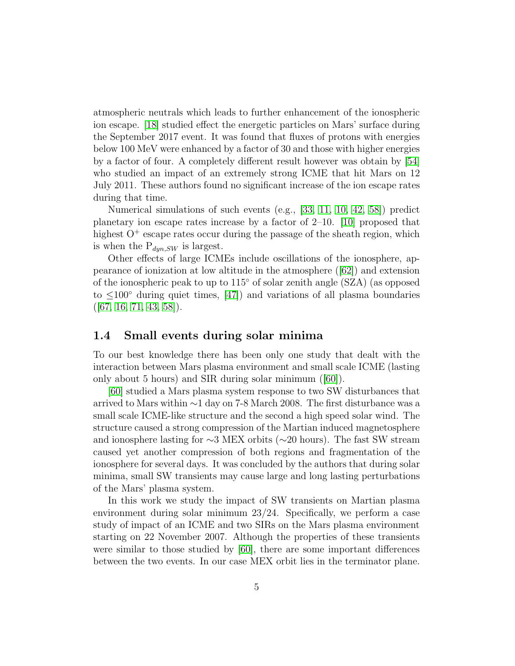atmospheric neutrals which leads to further enhancement of the ionospheric ion escape. [\[18\]](#page-30-5) studied effect the energetic particles on Mars' surface during the September 2017 event. It was found that fluxes of protons with energies below 100 MeV were enhanced by a factor of 30 and those with higher energies by a factor of four. A completely different result however was obtain by [\[54\]](#page-36-4) who studied an impact of an extremely strong ICME that hit Mars on 12 July 2011. These authors found no significant increase of the ion escape rates during that time.

Numerical simulations of such events (e.g., [\[33,](#page-33-2) [11,](#page-29-3) [10,](#page-29-2) [42,](#page-35-2) [58\]](#page-37-3)) predict planetary ion escape rates increase by a factor of 2–10. [\[10\]](#page-29-2) proposed that highest  $O^+$  escape rates occur during the passage of the sheath region, which is when the  $P_{dyn,SW}$  is largest.

Other effects of large ICMEs include oscillations of the ionosphere, appearance of ionization at low altitude in the atmosphere ([\[62\]](#page-38-4)) and extension of the ionospheric peak to up to 115◦ of solar zenith angle (SZA) (as opposed to  $\leq 100^{\circ}$  during quiet times, [\[47\]](#page-35-1)) and variations of all plasma boundaries  $([67, 16, 71, 43, 58]).$  $([67, 16, 71, 43, 58]).$  $([67, 16, 71, 43, 58]).$  $([67, 16, 71, 43, 58]).$  $([67, 16, 71, 43, 58]).$  $([67, 16, 71, 43, 58]).$  $([67, 16, 71, 43, 58]).$ 

#### 1.4 Small events during solar minima

To our best knowledge there has been only one study that dealt with the interaction between Mars plasma environment and small scale ICME (lasting only about 5 hours) and SIR during solar minimum ([\[60\]](#page-37-4)).

[\[60\]](#page-37-4) studied a Mars plasma system response to two SW disturbances that arrived to Mars within ∼1 day on 7-8 March 2008. The first disturbance was a small scale ICME-like structure and the second a high speed solar wind. The structure caused a strong compression of the Martian induced magnetosphere and ionosphere lasting for ∼3 MEX orbits (∼20 hours). The fast SW stream caused yet another compression of both regions and fragmentation of the ionosphere for several days. It was concluded by the authors that during solar minima, small SW transients may cause large and long lasting perturbations of the Mars' plasma system.

In this work we study the impact of SW transients on Martian plasma environment during solar minimum 23/24. Specifically, we perform a case study of impact of an ICME and two SIRs on the Mars plasma environment starting on 22 November 2007. Although the properties of these transients were similar to those studied by [\[60\]](#page-37-4), there are some important differences between the two events. In our case MEX orbit lies in the terminator plane.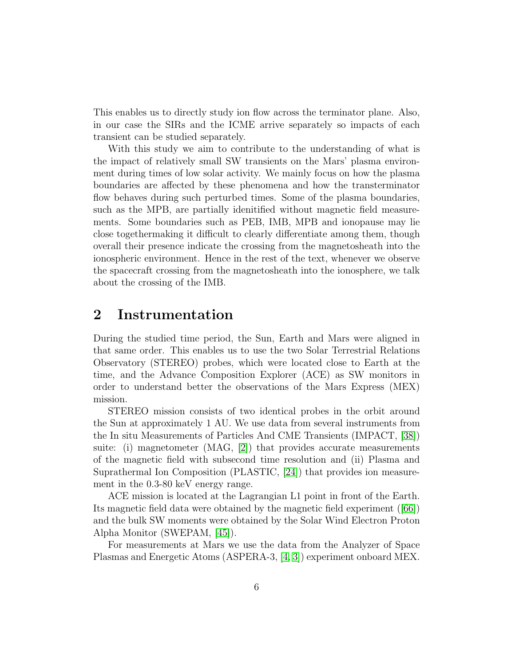This enables us to directly study ion flow across the terminator plane. Also, in our case the SIRs and the ICME arrive separately so impacts of each transient can be studied separately.

With this study we aim to contribute to the understanding of what is the impact of relatively small SW transients on the Mars' plasma environment during times of low solar activity. We mainly focus on how the plasma boundaries are affected by these phenomena and how the transterminator flow behaves during such perturbed times. Some of the plasma boundaries, such as the MPB, are partially idenitified without magnetic field measurements. Some boundaries such as PEB, IMB, MPB and ionopause may lie close togethermaking it difficult to clearly differentiate among them, though overall their presence indicate the crossing from the magnetosheath into the ionospheric environment. Hence in the rest of the text, whenever we observe the spacecraft crossing from the magnetosheath into the ionosphere, we talk about the crossing of the IMB.

### 2 Instrumentation

During the studied time period, the Sun, Earth and Mars were aligned in that same order. This enables us to use the two Solar Terrestrial Relations Observatory (STEREO) probes, which were located close to Earth at the time, and the Advance Composition Explorer (ACE) as SW monitors in order to understand better the observations of the Mars Express (MEX) mission.

STEREO mission consists of two identical probes in the orbit around the Sun at approximately 1 AU. We use data from several instruments from the In situ Measurements of Particles And CME Transients (IMPACT, [\[38\]](#page-34-3)) suite: (i) magnetometer (MAG, [\[2\]](#page-28-1)) that provides accurate measurements of the magnetic field with subsecond time resolution and (ii) Plasma and Suprathermal Ion Composition (PLASTIC, [\[24\]](#page-31-3)) that provides ion measurement in the 0.3-80 keV energy range.

ACE mission is located at the Lagrangian L1 point in front of the Earth. Its magnetic field data were obtained by the magnetic field experiment ([\[66\]](#page-38-6)) and the bulk SW moments were obtained by the Solar Wind Electron Proton Alpha Monitor (SWEPAM, [\[45\]](#page-35-4)).

For measurements at Mars we use the data from the Analyzer of Space Plasmas and Energetic Atoms (ASPERA-3, [\[4,](#page-28-2) [3\]](#page-28-3)) experiment onboard MEX.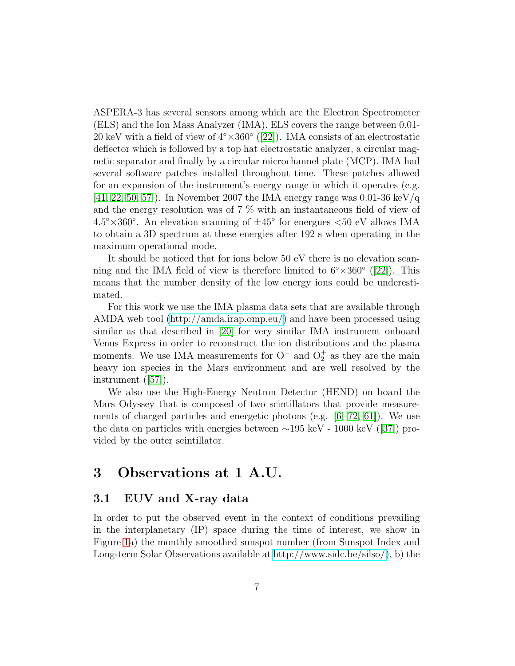ASPERA-3 has several sensors among which are the Electron Spectrometer (ELS) and the Ion Mass Analyzer (IMA). ELS covers the range between 0.01- 20 keV with a field of view of  $4° \times 360°$  ([\[22\]](#page-31-4)). IMA consists of an electrostatic deflector which is followed by a top hat electrostatic analyzer, a circular magnetic separator and finally by a circular microchannel plate (MCP). IMA had several software patches installed throughout time. These patches allowed for an expansion of the instrument's energy range in which it operates (e.g. [\[41,](#page-35-5) [22,](#page-31-4) [50,](#page-36-5) [57\]](#page-37-5)). In November 2007 the IMA energy range was 0.01-36 keV/q and the energy resolution was of 7 % with an instantaneous field of view of  $4.5^{\circ} \times 360^{\circ}$ . An elevation scanning of  $\pm 45^{\circ}$  for energues  $\lt 50$  eV allows IMA to obtain a 3D spectrum at these energies after 192 s when operating in the maximum operational mode.

It should be noticed that for ions below 50 eV there is no elevation scanning and the IMA field of view is therefore limited to  $6° \times 360°$  ([\[22\]](#page-31-4)). This means that the number density of the low energy ions could be underestimated.

For this work we use the IMA plasma data sets that are available through AMDA web tool [\(http://amda.irap.omp.eu/\)](http://amda.irap.omp.eu/) and have been processed using similar as that described in [\[20\]](#page-31-5) for very similar IMA instrument onboard Venus Express in order to reconstruct the ion distributions and the plasma moments. We use IMA measurements for  $O^+$  and  $O_2^+$  as they are the main heavy ion species in the Mars environment and are well resolved by the instrument ([\[57\]](#page-37-5)).

We also use the High-Energy Neutron Detector (HEND) on board the Mars Odyssey that is composed of two scintillators that provide measurements of charged particles and energetic photons (e.g.  $[6, 72, 61]$  $[6, 72, 61]$  $[6, 72, 61]$ ). We use the data on particles with energies between ∼195 keV - 1000 keV ([\[37\]](#page-34-4)) provided by the outer scintillator.

## 3 Observations at 1 A.U.

### 3.1 EUV and X-ray data

In order to put the observed event in the context of conditions prevailing in the interplanetary (IP) space during the time of interest, we show in Figure [1a](#page-19-0)) the monthly smoothed sunspot number (from Sunspot Index and Long-term Solar Observations available at [http://www.sidc.be/silso/\)](http://www.sidc.be/silso/), b) the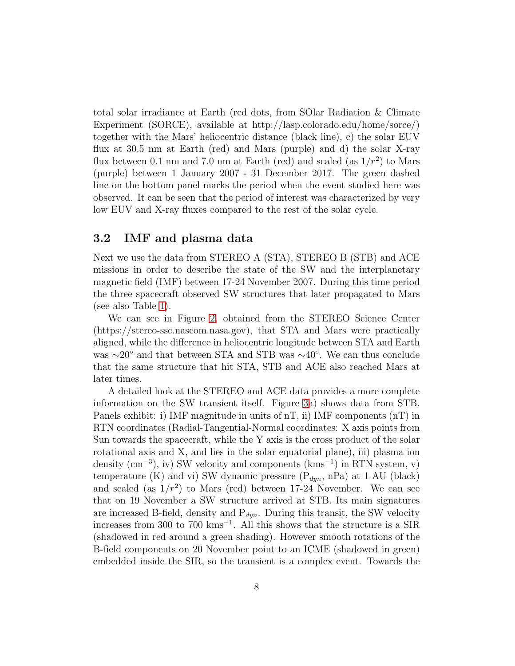total solar irradiance at Earth (red dots, from SOlar Radiation & Climate Experiment (SORCE), available at http://lasp.colorado.edu/home/sorce/) together with the Mars' heliocentric distance (black line), c) the solar EUV flux at 30.5 nm at Earth (red) and Mars (purple) and d) the solar X-ray flux between 0.1 nm and 7.0 nm at Earth (red) and scaled (as  $1/r<sup>2</sup>$ ) to Mars (purple) between 1 January 2007 - 31 December 2017. The green dashed line on the bottom panel marks the period when the event studied here was observed. It can be seen that the period of interest was characterized by very low EUV and X-ray fluxes compared to the rest of the solar cycle.

### 3.2 IMF and plasma data

Next we use the data from STEREO A (STA), STEREO B (STB) and ACE missions in order to describe the state of the SW and the interplanetary magnetic field (IMF) between 17-24 November 2007. During this time period the three spacecraft observed SW structures that later propagated to Mars (see also Table [1\)](#page-20-0).

We can see in Figure [2,](#page-20-1) obtained from the STEREO Science Center (https://stereo-ssc.nascom.nasa.gov), that STA and Mars were practically aligned, while the difference in heliocentric longitude between STA and Earth was ∼20◦ and that between STA and STB was ∼40◦ . We can thus conclude that the same structure that hit STA, STB and ACE also reached Mars at later times.

A detailed look at the STEREO and ACE data provides a more complete information on the SW transient itself. Figure [3a](#page-21-0)) shows data from STB. Panels exhibit: i) IMF magnitude in units of  $nT$ , ii) IMF components  $(nT)$  in RTN coordinates (Radial-Tangential-Normal coordinates: X axis points from Sun towards the spacecraft, while the Y axis is the cross product of the solar rotational axis and X, and lies in the solar equatorial plane), iii) plasma ion density  $(cm<sup>-3</sup>)$ , iv) SW velocity and components  $(kms<sup>-1</sup>)$  in RTN system, v) temperature (K) and vi) SW dynamic pressure  $(P_{dyn}, nPa)$  at 1 AU (black) and scaled (as  $1/r^2$ ) to Mars (red) between 17-24 November. We can see that on 19 November a SW structure arrived at STB. Its main signatures are increased B-field, density and  $P_{dyn}$ . During this transit, the SW velocity increases from 300 to 700 kms<sup>−</sup><sup>1</sup> . All this shows that the structure is a SIR (shadowed in red around a green shading). However smooth rotations of the B-field components on 20 November point to an ICME (shadowed in green) embedded inside the SIR, so the transient is a complex event. Towards the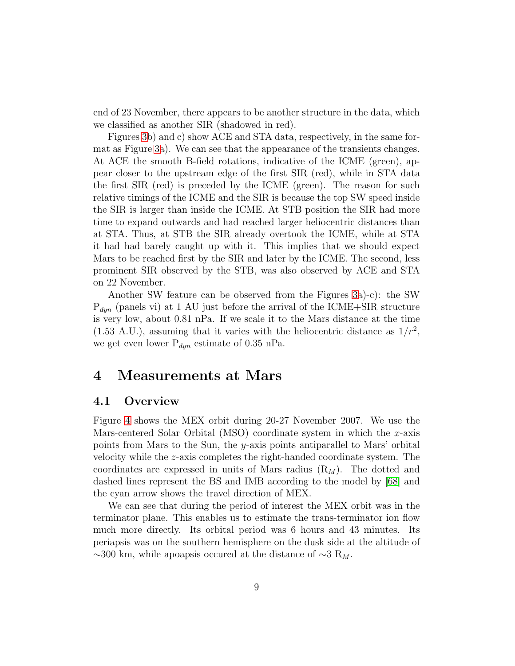end of 23 November, there appears to be another structure in the data, which we classified as another SIR (shadowed in red).

Figures [3b](#page-21-0)) and c) show ACE and STA data, respectively, in the same format as Figure [3a](#page-21-0)). We can see that the appearance of the transients changes. At ACE the smooth B-field rotations, indicative of the ICME (green), appear closer to the upstream edge of the first SIR (red), while in STA data the first SIR (red) is preceded by the ICME (green). The reason for such relative timings of the ICME and the SIR is because the top SW speed inside the SIR is larger than inside the ICME. At STB position the SIR had more time to expand outwards and had reached larger heliocentric distances than at STA. Thus, at STB the SIR already overtook the ICME, while at STA it had had barely caught up with it. This implies that we should expect Mars to be reached first by the SIR and later by the ICME. The second, less prominent SIR observed by the STB, was also observed by ACE and STA on 22 November.

Another SW feature can be observed from the Figures [3a](#page-21-0))-c): the SW  $P_{dyn}$  (panels vi) at 1 AU just before the arrival of the ICME+SIR structure is very low, about 0.81 nPa. If we scale it to the Mars distance at the time  $(1.53 \text{ A.U.})$ , assuming that it varies with the heliocentric distance as  $1/r^2$ , we get even lower  $P_{dyn}$  estimate of 0.35 nPa.

### 4 Measurements at Mars

#### 4.1 Overview

Figure [4](#page-22-0) shows the MEX orbit during 20-27 November 2007. We use the Mars-centered Solar Orbital (MSO) coordinate system in which the x-axis points from Mars to the Sun, the y-axis points antiparallel to Mars' orbital velocity while the z-axis completes the right-handed coordinate system. The coordinates are expressed in units of Mars radius  $(R_M)$ . The dotted and dashed lines represent the BS and IMB according to the model by [\[68\]](#page-38-7) and the cyan arrow shows the travel direction of MEX.

We can see that during the period of interest the MEX orbit was in the terminator plane. This enables us to estimate the trans-terminator ion flow much more directly. Its orbital period was 6 hours and 43 minutes. Its periapsis was on the southern hemisphere on the dusk side at the altitude of  $\sim$ 300 km, while apoapsis occured at the distance of  $\sim$ 3 R<sub>M</sub>.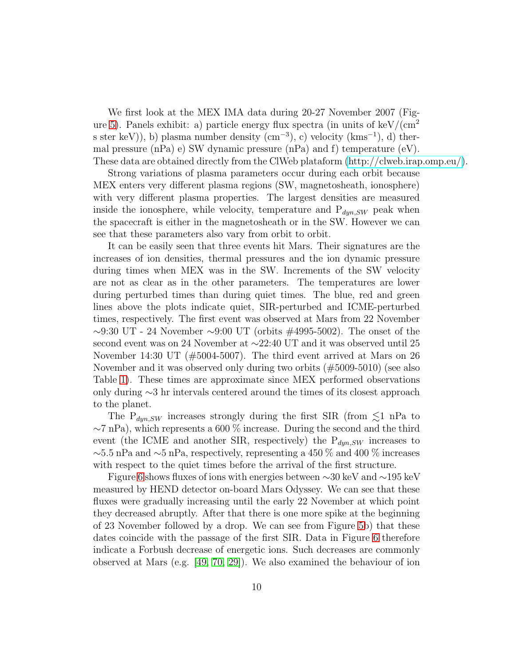We first look at the MEX IMA data during 20-27 November 2007 (Fig-ure [5\)](#page-23-0). Panels exhibit: a) particle energy flux spectra (in units of  $\text{keV}/(\text{cm}^2)$ s ster keV)), b) plasma number density  $(cm<sup>-3</sup>)$ , c) velocity  $(kms<sup>-1</sup>)$ , d) thermal pressure  $(nPa)$  e) SW dynamic pressure  $(nPa)$  and f) temperature  $(eV)$ . These data are obtained directly from the ClWeb plataform [\(http://clweb.irap.omp.eu/\)](http://clweb.irap.omp.eu/).

Strong variations of plasma parameters occur during each orbit because MEX enters very different plasma regions (SW, magnetosheath, ionosphere) with very different plasma properties. The largest densities are measured inside the ionosphere, while velocity, temperature and  $P_{dyn,SW}$  peak when the spacecraft is either in the magnetosheath or in the SW. However we can see that these parameters also vary from orbit to orbit.

It can be easily seen that three events hit Mars. Their signatures are the increases of ion densities, thermal pressures and the ion dynamic pressure during times when MEX was in the SW. Increments of the SW velocity are not as clear as in the other parameters. The temperatures are lower during perturbed times than during quiet times. The blue, red and green lines above the plots indicate quiet, SIR-perturbed and ICME-perturbed times, respectively. The first event was observed at Mars from 22 November ∼9:30 UT - 24 November ∼9:00 UT (orbits #4995-5002). The onset of the second event was on 24 November at ∼22:40 UT and it was observed until 25 November 14:30 UT (#5004-5007). The third event arrived at Mars on 26 November and it was observed only during two orbits (#5009-5010) (see also Table [1\)](#page-20-0). These times are approximate since MEX performed observations only during ∼3 hr intervals centered around the times of its closest approach to the planet.

The  $P_{dyn,SW}$  increases strongly during the first SIR (from  $\leq 1$  nPa to  $\sim$ 7 nPa), which represents a 600 % increase. During the second and the third event (the ICME and another SIR, respectively) the  $P_{dyn,SW}$  increases to ∼5.5 nPa and ∼5 nPa, respectively, representing a 450 % and 400 % increases with respect to the quiet times before the arrival of the first structure.

Figure [6](#page-24-0) shows fluxes of ions with energies between ∼30 keV and ∼195 keV measured by HEND detector on-board Mars Odyssey. We can see that these fluxes were gradually increasing until the early 22 November at which point they decreased abruptly. After that there is one more spike at the beginning of 23 November followed by a drop. We can see from Figure [5b](#page-23-0)) that these dates coincide with the passage of the first SIR. Data in Figure [6](#page-24-0) therefore indicate a Forbush decrease of energetic ions. Such decreases are commonly observed at Mars (e.g. [\[49,](#page-36-6) [70,](#page-39-0) [29\]](#page-32-3)). We also examined the behaviour of ion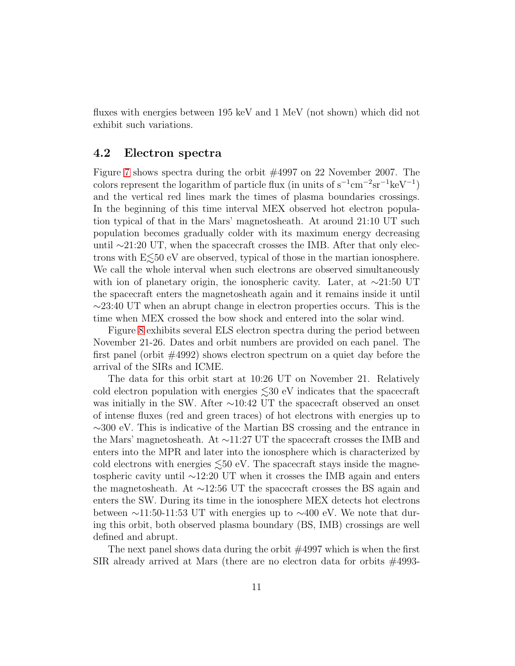fluxes with energies between 195 keV and 1 MeV (not shown) which did not exhibit such variations.

#### 4.2 Electron spectra

Figure [7](#page-25-0) shows spectra during the orbit #4997 on 22 November 2007. The colors represent the logarithm of particle flux (in units of  $s^{-1}cm^{-2}sr^{-1}keV^{-1}$ ) and the vertical red lines mark the times of plasma boundaries crossings. In the beginning of this time interval MEX observed hot electron population typical of that in the Mars' magnetosheath. At around 21:10 UT such population becomes gradually colder with its maximum energy decreasing until ∼21:20 UT, when the spacecraft crosses the IMB. After that only electrons with  $E\lesssim 50$  eV are observed, typical of those in the martian ionosphere. We call the whole interval when such electrons are observed simultaneously with ion of planetary origin, the ionospheric cavity. Later, at  $\sim$ 21:50 UT the spacecraft enters the magnetosheath again and it remains inside it until ∼23:40 UT when an abrupt change in electron properties occurs. This is the time when MEX crossed the bow shock and entered into the solar wind.

Figure [8](#page-26-0) exhibits several ELS electron spectra during the period between November 21-26. Dates and orbit numbers are provided on each panel. The first panel (orbit #4992) shows electron spectrum on a quiet day before the arrival of the SIRs and ICME.

The data for this orbit start at 10:26 UT on November 21. Relatively cold electron population with energies  $\leq 30$  eV indicates that the spacecraft was initially in the SW. After ∼10:42 UT the spacecraft observed an onset of intense fluxes (red and green traces) of hot electrons with energies up to ∼300 eV. This is indicative of the Martian BS crossing and the entrance in the Mars' magnetosheath. At ∼11:27 UT the spacecraft crosses the IMB and enters into the MPR and later into the ionosphere which is characterized by cold electrons with energies  $\lesssim$ 50 eV. The spacecraft stays inside the magnetospheric cavity until ∼12:20 UT when it crosses the IMB again and enters the magnetosheath. At ∼12:56 UT the spacecraft crosses the BS again and enters the SW. During its time in the ionosphere MEX detects hot electrons between ∼11:50-11:53 UT with energies up to ∼400 eV. We note that during this orbit, both observed plasma boundary (BS, IMB) crossings are well defined and abrupt.

The next panel shows data during the orbit  $\#4997$  which is when the first SIR already arrived at Mars (there are no electron data for orbits #4993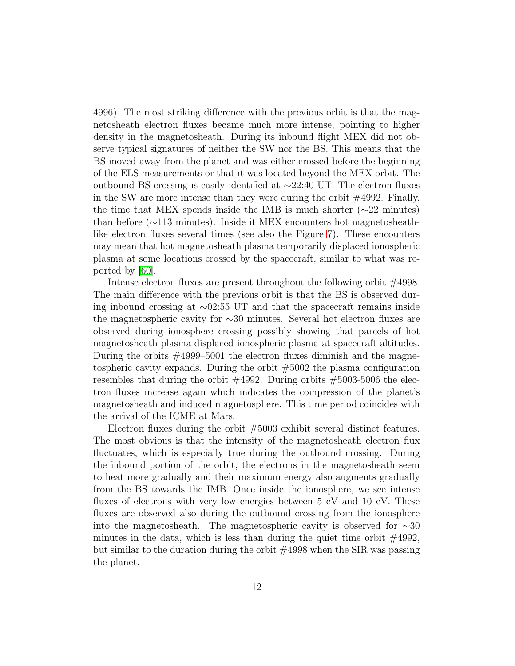4996). The most striking difference with the previous orbit is that the magnetosheath electron fluxes became much more intense, pointing to higher density in the magnetosheath. During its inbound flight MEX did not observe typical signatures of neither the SW nor the BS. This means that the BS moved away from the planet and was either crossed before the beginning of the ELS measurements or that it was located beyond the MEX orbit. The outbound BS crossing is easily identified at ∼22:40 UT. The electron fluxes in the SW are more intense than they were during the orbit #4992. Finally, the time that MEX spends inside the IMB is much shorter ( $\sim$ 22 minutes) than before (∼113 minutes). Inside it MEX encounters hot magnetosheathlike electron fluxes several times (see also the Figure [7\)](#page-25-0). These encounters may mean that hot magnetosheath plasma temporarily displaced ionospheric plasma at some locations crossed by the spacecraft, similar to what was reported by [\[60\]](#page-37-4).

Intense electron fluxes are present throughout the following orbit #4998. The main difference with the previous orbit is that the BS is observed during inbound crossing at ∼02:55 UT and that the spacecraft remains inside the magnetospheric cavity for ∼30 minutes. Several hot electron fluxes are observed during ionosphere crossing possibly showing that parcels of hot magnetosheath plasma displaced ionospheric plasma at spacecraft altitudes. During the orbits  $\#4999-5001$  the electron fluxes diminish and the magnetospheric cavity expands. During the orbit #5002 the plasma configuration resembles that during the orbit  $\#4992$ . During orbits  $\#5003-5006$  the electron fluxes increase again which indicates the compression of the planet's magnetosheath and induced magnetosphere. This time period coincides with the arrival of the ICME at Mars.

Electron fluxes during the orbit #5003 exhibit several distinct features. The most obvious is that the intensity of the magnetosheath electron flux fluctuates, which is especially true during the outbound crossing. During the inbound portion of the orbit, the electrons in the magnetosheath seem to heat more gradually and their maximum energy also augments gradually from the BS towards the IMB. Once inside the ionosphere, we see intense fluxes of electrons with very low energies between 5 eV and 10 eV. These fluxes are observed also during the outbound crossing from the ionosphere into the magnetosheath. The magnetospheric cavity is observed for  $\sim$ 30 minutes in the data, which is less than during the quiet time orbit  $\#4992$ , but similar to the duration during the orbit #4998 when the SIR was passing the planet.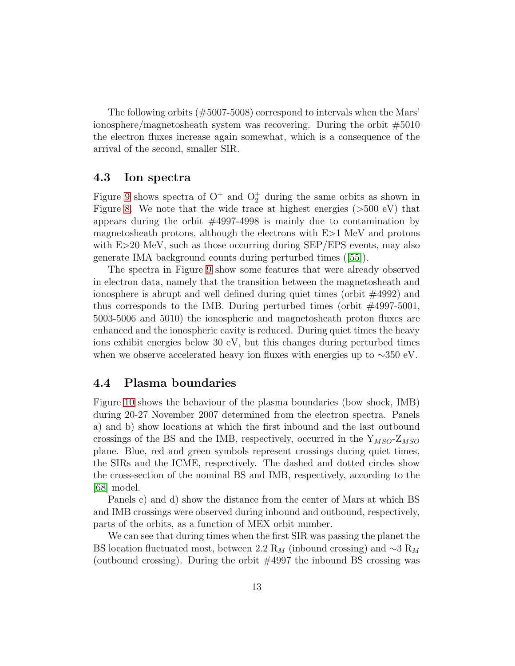The following orbits (#5007-5008) correspond to intervals when the Mars' ionosphere/magnetosheath system was recovering. During the orbit #5010 the electron fluxes increase again somewhat, which is a consequence of the arrival of the second, smaller SIR.

#### 4.3 Ion spectra

Figure [9](#page-27-0) shows spectra of  $O^+$  and  $O_2^+$  during the same orbits as shown in Figure [8.](#page-26-0) We note that the wide trace at highest energies  $(500 \text{ eV})$  that appears during the orbit  $#4997-4998$  is mainly due to contamination by magnetosheath protons, although the electrons with E>1 MeV and protons with  $E > 20$  MeV, such as those occurring during  $SEP/EPS$  events, may also generate IMA background counts during perturbed times ([\[55\]](#page-37-2)).

The spectra in Figure [9](#page-27-0) show some features that were already observed in electron data, namely that the transition between the magnetosheath and ionosphere is abrupt and well defined during quiet times (orbit #4992) and thus corresponds to the IMB. During perturbed times (orbit #4997-5001, 5003-5006 and 5010) the ionospheric and magnetosheath proton fluxes are enhanced and the ionospheric cavity is reduced. During quiet times the heavy ions exhibit energies below 30 eV, but this changes during perturbed times when we observe accelerated heavy ion fluxes with energies up to  $\sim$ 350 eV.

#### 4.4 Plasma boundaries

Figure [10](#page-41-0) shows the behaviour of the plasma boundaries (bow shock, IMB) during 20-27 November 2007 determined from the electron spectra. Panels a) and b) show locations at which the first inbound and the last outbound crossings of the BS and the IMB, respectively, occurred in the  $Y_{MSO}$ - $Z_{MSO}$ plane. Blue, red and green symbols represent crossings during quiet times, the SIRs and the ICME, respectively. The dashed and dotted circles show the cross-section of the nominal BS and IMB, respectively, according to the [\[68\]](#page-38-7) model.

Panels c) and d) show the distance from the center of Mars at which BS and IMB crossings were observed during inbound and outbound, respectively, parts of the orbits, as a function of MEX orbit number.

We can see that during times when the first SIR was passing the planet the BS location fluctuated most, between 2.2 R<sub>M</sub> (inbound crossing) and  $\sim$ 3 R<sub>M</sub> (outbound crossing). During the orbit #4997 the inbound BS crossing was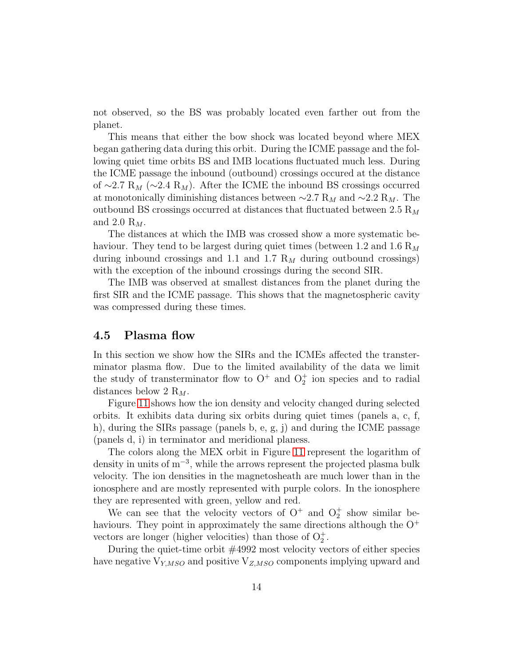not observed, so the BS was probably located even farther out from the planet.

This means that either the bow shock was located beyond where MEX began gathering data during this orbit. During the ICME passage and the following quiet time orbits BS and IMB locations fluctuated much less. During the ICME passage the inbound (outbound) crossings occured at the distance of ∼2.7 R<sub>M</sub> (∼2.4 R<sub>M</sub>). After the ICME the inbound BS crossings occurred at monotonically diminishing distances between  $\sim$ 2.7 R<sub>M</sub> and  $\sim$ 2.2 R<sub>M</sub>. The outbound BS crossings occurred at distances that fluctuated between 2.5  $R_M$ and 2.0  $R_M$ .

The distances at which the IMB was crossed show a more systematic behaviour. They tend to be largest during quiet times (between 1.2 and 1.6  $R_M$ during inbound crossings and 1.1 and 1.7  $R_M$  during outbound crossings) with the exception of the inbound crossings during the second SIR.

The IMB was observed at smallest distances from the planet during the first SIR and the ICME passage. This shows that the magnetospheric cavity was compressed during these times.

#### 4.5 Plasma flow

In this section we show how the SIRs and the ICMEs affected the transterminator plasma flow. Due to the limited availability of the data we limit the study of transterminator flow to  $O^+$  and  $O_2^+$  ion species and to radial distances below 2  $R_M$ .

Figure [11](#page-42-0) shows how the ion density and velocity changed during selected orbits. It exhibits data during six orbits during quiet times (panels a, c, f, h), during the SIRs passage (panels b, e, g, j) and during the ICME passage (panels d, i) in terminator and meridional planess.

The colors along the MEX orbit in Figure [11](#page-42-0) represent the logarithm of density in units of m<sup>−</sup><sup>3</sup> , while the arrows represent the projected plasma bulk velocity. The ion densities in the magnetosheath are much lower than in the ionosphere and are mostly represented with purple colors. In the ionosphere they are represented with green, yellow and red.

We can see that the velocity vectors of  $O^+$  and  $O_2^+$  show similar behaviours. They point in approximately the same directions although the  $O^+$ vectors are longer (higher velocities) than those of  $O_2^+$ .

During the quiet-time orbit #4992 most velocity vectors of either species have negative  $V_{Y,MSO}$  and positive  $V_{Z,MSO}$  components implying upward and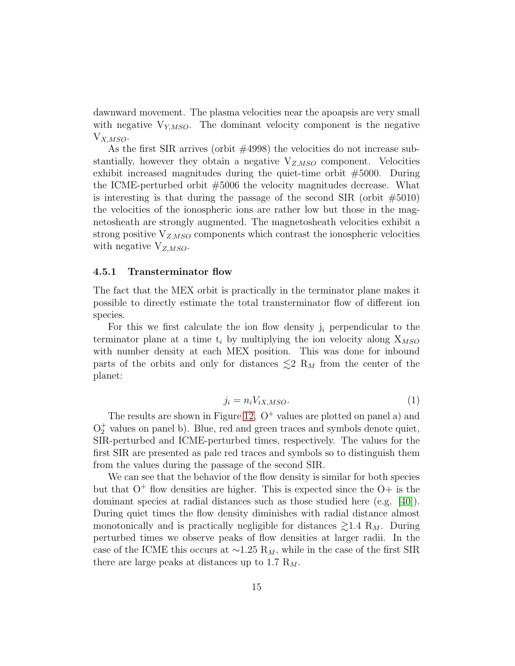dawnward movement. The plasma velocities near the apoapsis are very small with negative  $V_{Y,MSO}$ . The dominant velocity component is the negative  $V_{X,MSO}$ .

As the first SIR arrives (orbit #4998) the velocities do not increase substantially, however they obtain a negative  $V_{Z,MSO}$  component. Velocities exhibit increased magnitudes during the quiet-time orbit #5000. During the ICME-perturbed orbit #5006 the velocity magnitudes decrease. What is interesting is that during the passage of the second SIR (orbit  $\#5010$ ) the velocities of the ionospheric ions are rather low but those in the magnetosheath are strongly augmented. The magnetosheath velocities exhibit a strong positive  $V_{Z,MSO}$  components which contrast the ionospheric velocities with negative  $V_{Z,MSO}$ .

#### 4.5.1 Transterminator flow

The fact that the MEX orbit is practically in the terminator plane makes it possible to directly estimate the total transterminator flow of different ion species.

For this we first calculate the ion flow density  $j_i$  perpendicular to the terminator plane at a time  $t_i$  by multiplying the ion velocity along  $X_{MSO}$ with number density at each MEX position. This was done for inbound parts of the orbits and only for distances  $\leq 2$  R<sub>M</sub> from the center of the planet:

$$
j_i = n_i V_{iX,MSO}.\tag{1}
$$

The results are shown in Figure [12.](#page-43-0)  $O^+$  values are plotted on panel a) and  $O_2^+$  values on panel b). Blue, red and green traces and symbols denote quiet, SIR-perturbed and ICME-perturbed times, respectively. The values for the first SIR are presented as pale red traces and symbols so to distinguish them from the values during the passage of the second SIR.

We can see that the behavior of the flow density is similar for both species but that  $O^+$  flow densities are higher. This is expected since the  $O^+$  is the dominant species at radial distances such as those studied here (e.g. [\[40\]](#page-35-6)). During quiet times the flow density diminishes with radial distance almost monotonically and is practically negligible for distances  $\gtrsim 1.4$  R<sub>M</sub>. During perturbed times we observe peaks of flow densities at larger radii. In the case of the ICME this occurs at  $\sim$ 1.25 R<sub>M</sub>, while in the case of the first SIR there are large peaks at distances up to 1.7  $R_M$ .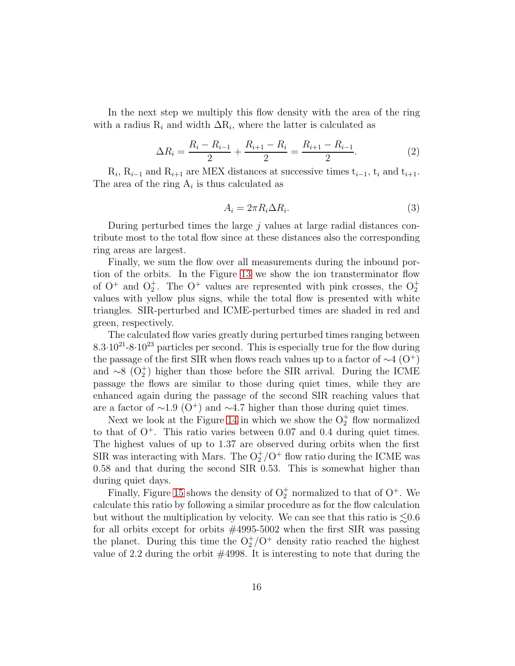In the next step we multiply this flow density with the area of the ring with a radius  $R_i$  and width  $\Delta R_i$ , where the latter is calculated as

$$
\Delta R_i = \frac{R_i - R_{i-1}}{2} + \frac{R_{i+1} - R_i}{2} = \frac{R_{i+1} - R_{i-1}}{2}.
$$
 (2)

 $R_i$ ,  $R_{i-1}$  and  $R_{i+1}$  are MEX distances at successive times  $t_{i-1}$ ,  $t_i$  and  $t_{i+1}$ . The area of the ring  $A_i$  is thus calculated as

$$
A_i = 2\pi R_i \Delta R_i. \tag{3}
$$

During perturbed times the large  $j$  values at large radial distances contribute most to the total flow since at these distances also the corresponding ring areas are largest.

Finally, we sum the flow over all measurements during the inbound portion of the orbits. In the Figure [13](#page-44-0) we show the ion transterminator flow of  $O^+$  and  $O_2^+$ . The  $O^+$  values are represented with pink crosses, the  $O_2^+$ values with yellow plus signs, while the total flow is presented with white triangles. SIR-perturbed and ICME-perturbed times are shaded in red and green, respectively.

The calculated flow varies greatly during perturbed times ranging between  $8.3 \cdot 10^{21} - 8 \cdot 10^{23}$  particles per second. This is especially true for the flow during the passage of the first SIR when flows reach values up to a factor of  $\sim$ 4 (O<sup>+</sup>) and  $\sim$ 8 (O<sup>+</sup>) higher than those before the SIR arrival. During the ICME passage the flows are similar to those during quiet times, while they are enhanced again during the passage of the second SIR reaching values that are a factor of  $\sim$ 1.9 (O<sup>+</sup>) and  $\sim$ 4.7 higher than those during quiet times.

Next we look at the Figure [14](#page-45-0) in which we show the  $O_2^+$  flow normalized to that of  $O^+$ . This ratio varies between 0.07 and 0.4 during quiet times. The highest values of up to 1.37 are observed during orbits when the first SIR was interacting with Mars. The  $O_2^+/O^+$  flow ratio during the ICME was 0.58 and that during the second SIR 0.53. This is somewhat higher than during quiet days.

Finally, Figure [15](#page-46-0) shows the density of  $O_2^+$  normalized to that of  $O^+$ . We calculate this ratio by following a similar procedure as for the flow calculation but without the multiplication by velocity. We can see that this ratio is  $\lesssim 0.6$ for all orbits except for orbits  $\#4995-5002$  when the first SIR was passing the planet. During this time the  $O_2^+/O^+$  density ratio reached the highest value of 2.2 during the orbit  $\#4998$ . It is interesting to note that during the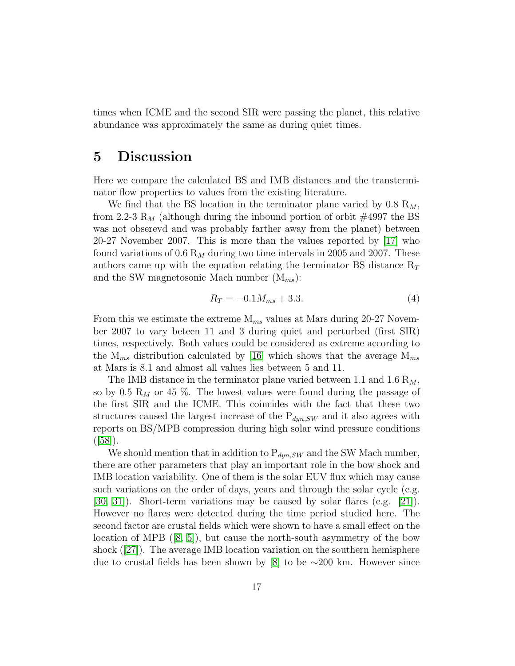times when ICME and the second SIR were passing the planet, this relative abundance was approximately the same as during quiet times.

### 5 Discussion

Here we compare the calculated BS and IMB distances and the transterminator flow properties to values from the existing literature.

We find that the BS location in the terminator plane varied by  $0.8 \ R_M$ , from 2.2-3  $R_M$  (although during the inbound portion of orbit  $\#4997$  the BS was not obserevd and was probably farther away from the planet) between 20-27 November 2007. This is more than the values reported by [\[17\]](#page-30-2) who found variations of 0.6  $R_M$  during two time intervals in 2005 and 2007. These authors came up with the equation relating the terminator BS distance  $R_T$ and the SW magnetosonic Mach number  $(M_{ms})$ :

$$
R_T = -0.1M_{ms} + 3.3.\t\t(4)
$$

From this we estimate the extreme  $M_{ms}$  values at Mars during 20-27 November 2007 to vary beteen 11 and 3 during quiet and perturbed (first SIR) times, respectively. Both values could be considered as extreme according to the  $M_{ms}$  distribution calculated by [\[16\]](#page-30-6) which shows that the average  $M_{ms}$ at Mars is 8.1 and almost all values lies between 5 and 11.

The IMB distance in the terminator plane varied between 1.1 and 1.6  $R_M$ , so by 0.5  $\mathbb{R}_M$  or 45 %. The lowest values were found during the passage of the first SIR and the ICME. This coincides with the fact that these two structures caused the largest increase of the  $P_{dyn,SW}$  and it also agrees with reports on BS/MPB compression during high solar wind pressure conditions  $([58])$  $([58])$  $([58])$ .

We should mention that in addition to  $P_{dyn,SW}$  and the SW Mach number, there are other parameters that play an important role in the bow shock and IMB location variability. One of them is the solar EUV flux which may cause such variations on the order of days, years and through the solar cycle (e.g.  $[30, 31]$  $[30, 31]$ . Short-term variations may be caused by solar flares (e.g.  $[21]$ ). However no flares were detected during the time period studied here. The second factor are crustal fields which were shown to have a small effect on the location of MPB ([\[8,](#page-29-5) [5\]](#page-28-4)), but cause the north-south asymmetry of the bow shock ([\[27\]](#page-32-5)). The average IMB location variation on the southern hemisphere due to crustal fields has been shown by [\[8\]](#page-29-5) to be ∼200 km. However since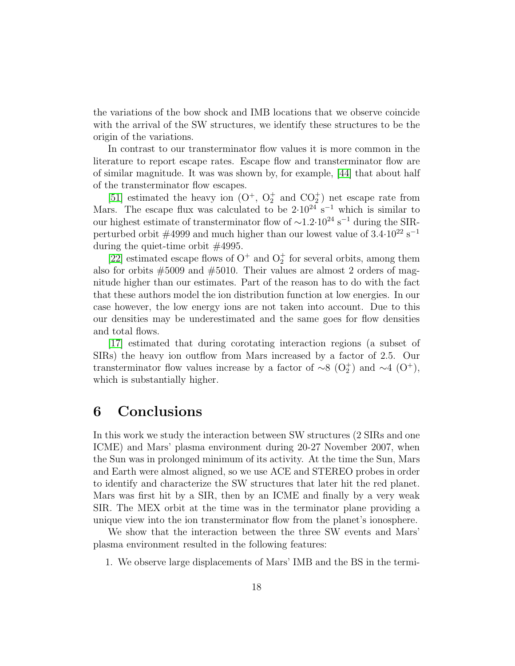the variations of the bow shock and IMB locations that we observe coincide with the arrival of the SW structures, we identify these structures to be the origin of the variations.

In contrast to our transterminator flow values it is more common in the literature to report escape rates. Escape flow and transterminator flow are of similar magnitude. It was was shown by, for example, [\[44\]](#page-35-7) that about half of the transterminator flow escapes.

[\[51\]](#page-36-2) estimated the heavy ion  $(O^+, O_2^+)$  and  $CO_2^+)$  net escape rate from Mars. The escape flux was calculated to be  $2.10^{24}$  s<sup>-1</sup> which is similar to our highest estimate of transterminator flow of  $\sim$ 1.2·10<sup>24</sup> s<sup>-1</sup> during the SIRperturbed orbit  $\#4999$  and much higher than our lowest value of  $3.4 \cdot 10^{22}$  s<sup>-1</sup> during the quiet-time orbit #4995.

[\[22\]](#page-31-4) estimated escape flows of  $O^+$  and  $O_2^+$  for several orbits, among them also for orbits  $#5009$  and  $#5010$ . Their values are almost 2 orders of magnitude higher than our estimates. Part of the reason has to do with the fact that these authors model the ion distribution function at low energies. In our case however, the low energy ions are not taken into account. Due to this our densities may be underestimated and the same goes for flow densities and total flows.

[\[17\]](#page-30-2) estimated that during corotating interaction regions (a subset of SIRs) the heavy ion outflow from Mars increased by a factor of 2.5. Our transterminator flow values increase by a factor of  $\sim 8$  (O<sup>+</sup>) and  $\sim 4$  (O<sup>+</sup>), which is substantially higher.

### 6 Conclusions

In this work we study the interaction between SW structures (2 SIRs and one ICME) and Mars' plasma environment during 20-27 November 2007, when the Sun was in prolonged minimum of its activity. At the time the Sun, Mars and Earth were almost aligned, so we use ACE and STEREO probes in order to identify and characterize the SW structures that later hit the red planet. Mars was first hit by a SIR, then by an ICME and finally by a very weak SIR. The MEX orbit at the time was in the terminator plane providing a unique view into the ion transterminator flow from the planet's ionosphere.

We show that the interaction between the three SW events and Mars' plasma environment resulted in the following features:

1. We observe large displacements of Mars' IMB and the BS in the termi-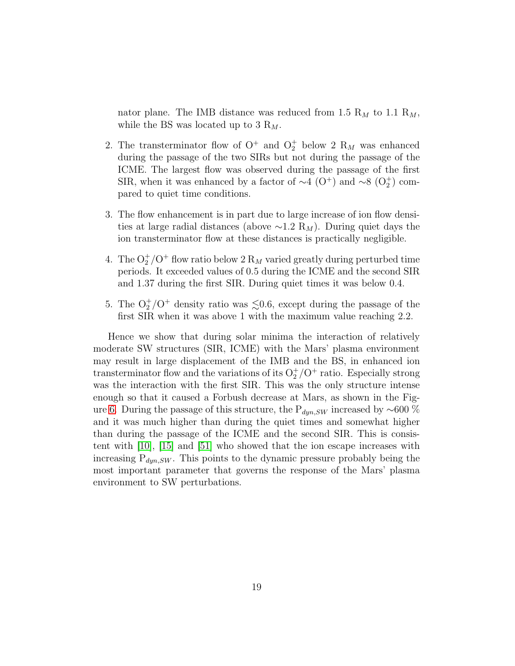nator plane. The IMB distance was reduced from 1.5  $R_M$  to 1.1  $R_M$ , while the BS was located up to 3  $R_M$ .

- 2. The transterminator flow of  $O^+$  and  $O_2^+$  below 2  $R_M$  was enhanced during the passage of the two SIRs but not during the passage of the ICME. The largest flow was observed during the passage of the first SIR, when it was enhanced by a factor of  $\sim$ 4 (O<sup>+</sup>) and  $\sim$ 8 (O<sup>+</sup>) compared to quiet time conditions.
- 3. The flow enhancement is in part due to large increase of ion flow densities at large radial distances (above  $\sim$ 1.2 R<sub>M</sub>). During quiet days the ion transterminator flow at these distances is practically negligible.
- 4. The  $O_2^+$ / $O^+$  flow ratio below 2  $R_M$  varied greatly during perturbed time periods. It exceeded values of 0.5 during the ICME and the second SIR and 1.37 during the first SIR. During quiet times it was below 0.4.
- 5. The  $O_2^+ / O^+$  density ratio was  $\lesssim 0.6$ , except during the passage of the first SIR when it was above 1 with the maximum value reaching 2.2.

Hence we show that during solar minima the interaction of relatively moderate SW structures (SIR, ICME) with the Mars' plasma environment may result in large displacement of the IMB and the BS, in enhanced ion transterminator flow and the variations of its  $O_2^+ / O^+$  ratio. Especially strong was the interaction with the first SIR. This was the only structure intense enough so that it caused a Forbush decrease at Mars, as shown in the Fig-ure [6.](#page-24-0) During the passage of this structure, the  $P_{dyn,SW}$  increased by  $\sim 600\%$ and it was much higher than during the quiet times and somewhat higher than during the passage of the ICME and the second SIR. This is consistent with [\[10\]](#page-29-2), [\[15\]](#page-30-3) and [\[51\]](#page-36-2) who showed that the ion escape increases with increasing  $P_{dyn,SW}$ . This points to the dynamic pressure probably being the most important parameter that governs the response of the Mars' plasma environment to SW perturbations.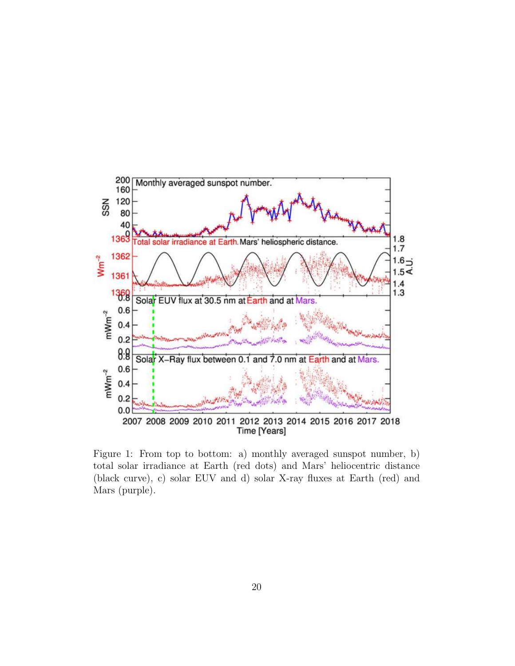

<span id="page-19-0"></span>Figure 1: From top to bottom: a) monthly averaged sunspot number, b) total solar irradiance at Earth (red dots) and Mars' heliocentric distance (black curve), c) solar EUV and d) solar X-ray fluxes at Earth (red) and Mars (purple).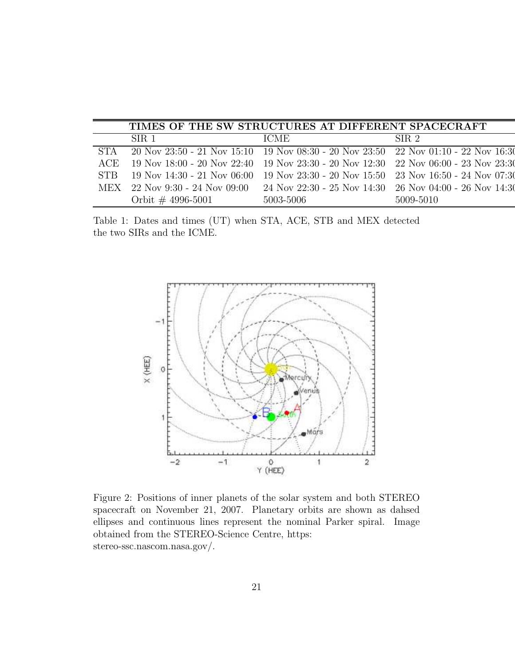| TIMES OF THE SW STRUCTURES AT DIFFERENT SPACECRAFT |                                  |                                                                                         |                  |
|----------------------------------------------------|----------------------------------|-----------------------------------------------------------------------------------------|------------------|
|                                                    | SIR 1                            | ICME.                                                                                   | SIR <sub>2</sub> |
| STA                                                |                                  | 20 Nov 23:50 - 21 Nov 15:10 19 Nov 08:30 - 20 Nov 23:50 22 Nov 01:10 - 22 Nov 16:30     |                  |
|                                                    |                                  | ACE 19 Nov 18:00 - 20 Nov 22:40 19 Nov 23:30 - 20 Nov 12:30 22 Nov 06:00 - 23 Nov 23:30 |                  |
| ST <sub>R</sub>                                    | $19$ Nov 14:30 - 21 Nov 06:00    | 19 Nov 23:30 - 20 Nov 15:50 23 Nov 16:50 - 24 Nov 07:30                                 |                  |
|                                                    | $MEX$ 22 Nov 9:30 - 24 Nov 09:00 | 24 Nov 22:30 - 25 Nov 14:30 26 Nov 04:00 - 26 Nov 14:30                                 |                  |
|                                                    | Orbit $\#$ 4996-5001             | 5003-5006                                                                               | 5009-5010        |

<span id="page-20-0"></span>Table 1: Dates and times (UT) when STA, ACE, STB and MEX detected the two SIRs and the ICME.



<span id="page-20-1"></span>Figure 2: Positions of inner planets of the solar system and both STEREO spacecraft on November 21, 2007. Planetary orbits are shown as dahsed ellipses and continuous lines represent the nominal Parker spiral. Image obtained from the STEREO-Science Centre, https: stereo-ssc.nascom.nasa.gov/.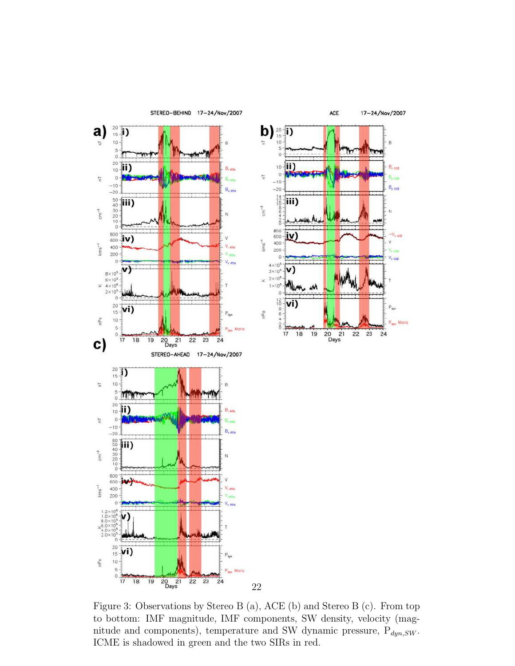

<span id="page-21-0"></span>Figure 3: Observations by Stereo B (a), ACE (b) and Stereo B (c). From top to bottom: IMF magnitude, IMF components, SW density, velocity (magnitude and components), temperature and SW dynamic pressure,  $P_{dyn,SW}$ . ICME is shadowed in green and the two SIRs in red.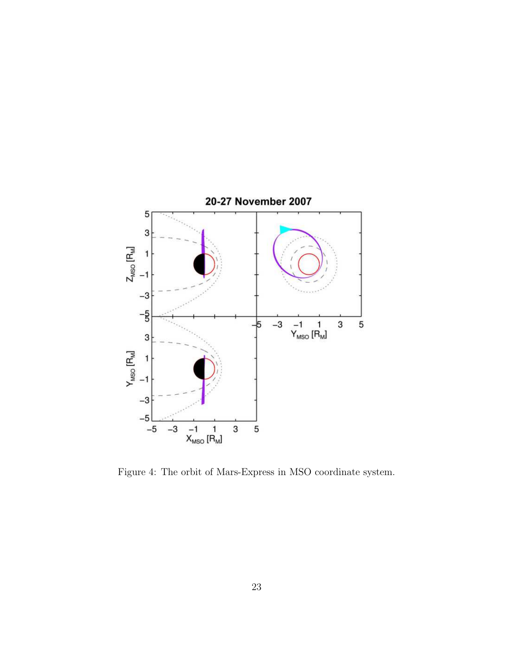

<span id="page-22-0"></span>Figure 4: The orbit of Mars-Express in MSO coordinate system.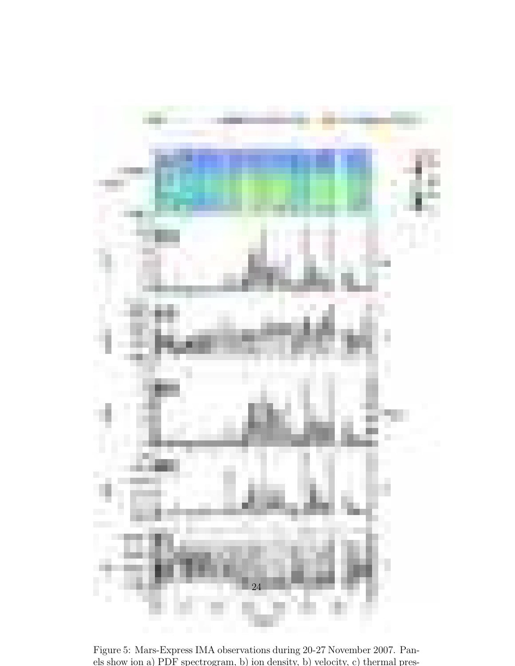

<span id="page-23-0"></span>Figure 5: Mars-Express IMA observations during 20-27 November 2007. Panels show ion a) PDF spectrogram, b) ion density, b) velocity, c) thermal pres-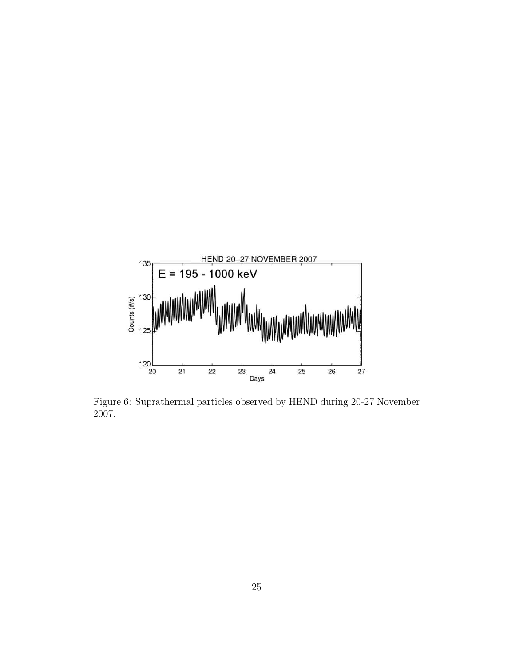

<span id="page-24-0"></span>Figure 6: Suprathermal particles observed by HEND during 20-27 November 2007.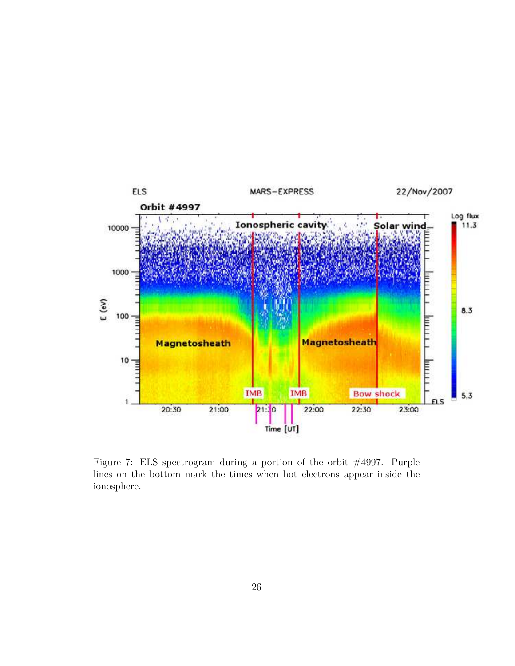

<span id="page-25-0"></span>Figure 7: ELS spectrogram during a portion of the orbit #4997. Purple lines on the bottom mark the times when hot electrons appear inside the ionosphere.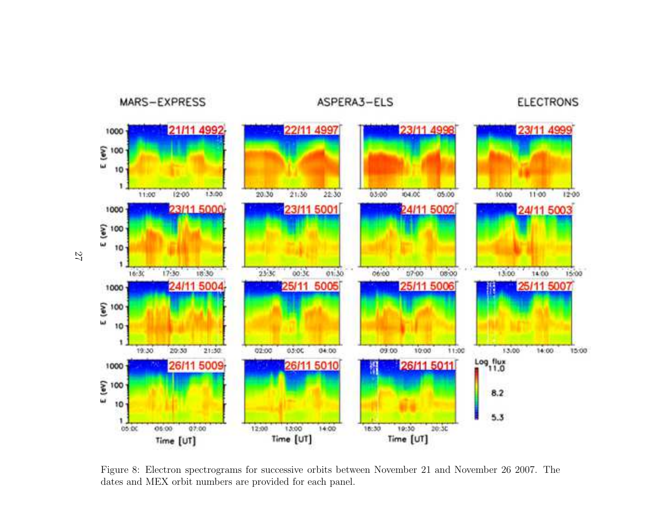

<span id="page-26-0"></span>Figure 8: Electron spectrograms for successive orbits between November <sup>21</sup> and November <sup>26</sup> 2007. The dates and MEX orbit numbers are provided for each panel.

27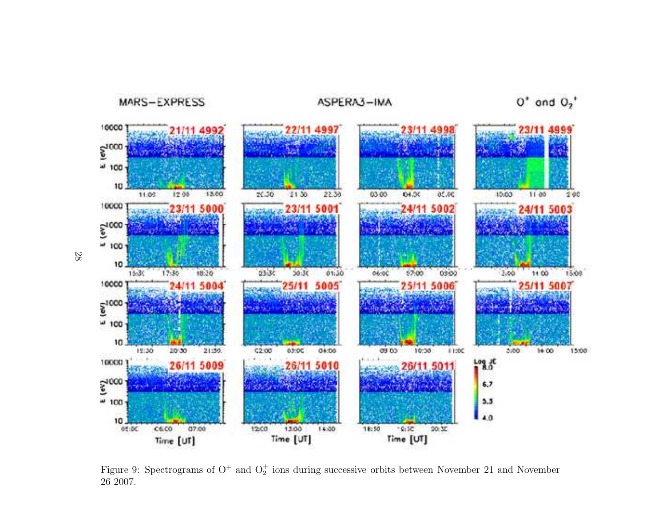

<span id="page-27-0"></span>Figure 9: Spectrograms of  $O^+$  and  $O_2^+$  ions during successive orbits between November 21 and November 2007.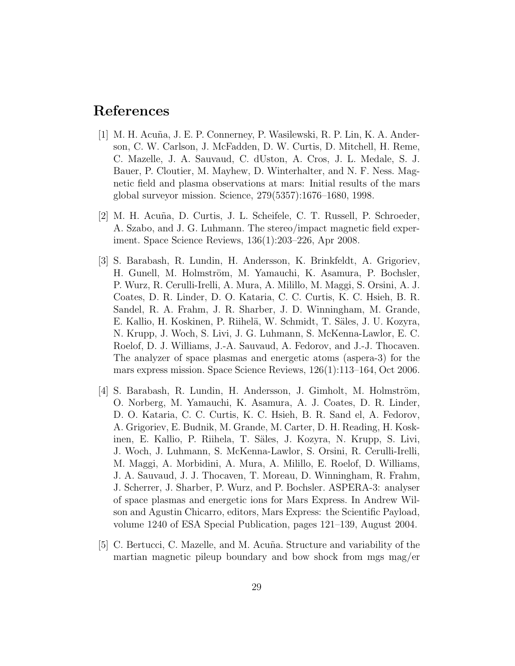### <span id="page-28-0"></span>References

- [1] M. H. Acu˜na, J. E. P. Connerney, P. Wasilewski, R. P. Lin, K. A. Anderson, C. W. Carlson, J. McFadden, D. W. Curtis, D. Mitchell, H. Reme, C. Mazelle, J. A. Sauvaud, C. dUston, A. Cros, J. L. Medale, S. J. Bauer, P. Cloutier, M. Mayhew, D. Winterhalter, and N. F. Ness. Magnetic field and plasma observations at mars: Initial results of the mars global surveyor mission. Science, 279(5357):1676–1680, 1998.
- <span id="page-28-1"></span>[2] M. H. Acuña, D. Curtis, J. L. Scheifele, C. T. Russell, P. Schroeder, A. Szabo, and J. G. Luhmann. The stereo/impact magnetic field experiment. Space Science Reviews, 136(1):203–226, Apr 2008.
- <span id="page-28-3"></span>[3] S. Barabash, R. Lundin, H. Andersson, K. Brinkfeldt, A. Grigoriev, H. Gunell, M. Holmström, M. Yamauchi, K. Asamura, P. Bochsler, P. Wurz, R. Cerulli-Irelli, A. Mura, A. Milillo, M. Maggi, S. Orsini, A. J. Coates, D. R. Linder, D. O. Kataria, C. C. Curtis, K. C. Hsieh, B. R. Sandel, R. A. Frahm, J. R. Sharber, J. D. Winningham, M. Grande, E. Kallio, H. Koskinen, P. Riihelä, W. Schmidt, T. Säles, J. U. Kozyra, N. Krupp, J. Woch, S. Livi, J. G. Luhmann, S. McKenna-Lawlor, E. C. Roelof, D. J. Williams, J.-A. Sauvaud, A. Fedorov, and J.-J. Thocaven. The analyzer of space plasmas and energetic atoms (aspera-3) for the mars express mission. Space Science Reviews, 126(1):113–164, Oct 2006.
- <span id="page-28-2"></span>[4] S. Barabash, R. Lundin, H. Andersson, J. Gimholt, M. Holmström, O. Norberg, M. Yamauchi, K. Asamura, A. J. Coates, D. R. Linder, D. O. Kataria, C. C. Curtis, K. C. Hsieh, B. R. Sand el, A. Fedorov, A. Grigoriev, E. Budnik, M. Grande, M. Carter, D. H. Reading, H. Koskinen, E. Kallio, P. Riihela, T. Säles, J. Kozyra, N. Krupp, S. Livi, J. Woch, J. Luhmann, S. McKenna-Lawlor, S. Orsini, R. Cerulli-Irelli, M. Maggi, A. Morbidini, A. Mura, A. Milillo, E. Roelof, D. Williams, J. A. Sauvaud, J. J. Thocaven, T. Moreau, D. Winningham, R. Frahm, J. Scherrer, J. Sharber, P. Wurz, and P. Bochsler. ASPERA-3: analyser of space plasmas and energetic ions for Mars Express. In Andrew Wilson and Agustin Chicarro, editors, Mars Express: the Scientific Payload, volume 1240 of ESA Special Publication, pages 121–139, August 2004.
- <span id="page-28-4"></span>[5] C. Bertucci, C. Mazelle, and M. Acuña. Structure and variability of the martian magnetic pileup boundary and bow shock from mgs mag/er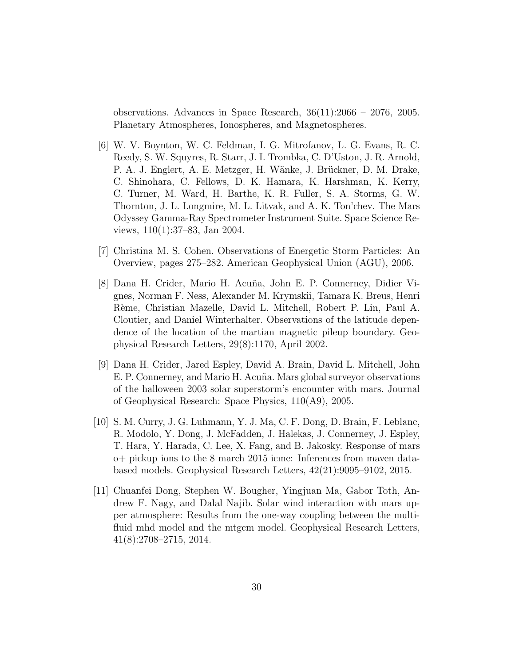observations. Advances in Space Research, 36(11):2066 – 2076, 2005. Planetary Atmospheres, Ionospheres, and Magnetospheres.

- <span id="page-29-4"></span>[6] W. V. Boynton, W. C. Feldman, I. G. Mitrofanov, L. G. Evans, R. C. Reedy, S. W. Squyres, R. Starr, J. I. Trombka, C. D'Uston, J. R. Arnold, P. A. J. Englert, A. E. Metzger, H. Wänke, J. Brückner, D. M. Drake, C. Shinohara, C. Fellows, D. K. Hamara, K. Harshman, K. Kerry, C. Turner, M. Ward, H. Barthe, K. R. Fuller, S. A. Storms, G. W. Thornton, J. L. Longmire, M. L. Litvak, and A. K. Ton'chev. The Mars Odyssey Gamma-Ray Spectrometer Instrument Suite. Space Science Reviews, 110(1):37–83, Jan 2004.
- <span id="page-29-5"></span><span id="page-29-0"></span>[7] Christina M. S. Cohen. Observations of Energetic Storm Particles: An Overview, pages 275–282. American Geophysical Union (AGU), 2006.
- [8] Dana H. Crider, Mario H. Acu˜na, John E. P. Connerney, Didier Vignes, Norman F. Ness, Alexander M. Krymskii, Tamara K. Breus, Henri R`eme, Christian Mazelle, David L. Mitchell, Robert P. Lin, Paul A. Cloutier, and Daniel Winterhalter. Observations of the latitude dependence of the location of the martian magnetic pileup boundary. Geophysical Research Letters, 29(8):1170, April 2002.
- <span id="page-29-1"></span>[9] Dana H. Crider, Jared Espley, David A. Brain, David L. Mitchell, John E. P. Connerney, and Mario H. Acuña. Mars global surveyor observations of the halloween 2003 solar superstorm's encounter with mars. Journal of Geophysical Research: Space Physics, 110(A9), 2005.
- <span id="page-29-2"></span>[10] S. M. Curry, J. G. Luhmann, Y. J. Ma, C. F. Dong, D. Brain, F. Leblanc, R. Modolo, Y. Dong, J. McFadden, J. Halekas, J. Connerney, J. Espley, T. Hara, Y. Harada, C. Lee, X. Fang, and B. Jakosky. Response of mars o+ pickup ions to the 8 march 2015 icme: Inferences from maven databased models. Geophysical Research Letters, 42(21):9095–9102, 2015.
- <span id="page-29-3"></span>[11] Chuanfei Dong, Stephen W. Bougher, Yingjuan Ma, Gabor Toth, Andrew F. Nagy, and Dalal Najib. Solar wind interaction with mars upper atmosphere: Results from the one-way coupling between the multifluid mhd model and the mtgcm model. Geophysical Research Letters, 41(8):2708–2715, 2014.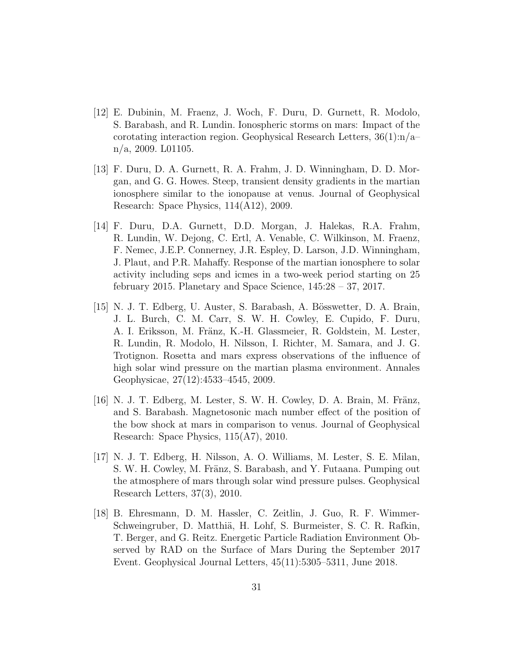- <span id="page-30-0"></span>[12] E. Dubinin, M. Fraenz, J. Woch, F. Duru, D. Gurnett, R. Modolo, S. Barabash, and R. Lundin. Ionospheric storms on mars: Impact of the corotating interaction region. Geophysical Research Letters, 36(1):n/a– n/a, 2009. L01105.
- <span id="page-30-1"></span>[13] F. Duru, D. A. Gurnett, R. A. Frahm, J. D. Winningham, D. D. Morgan, and G. G. Howes. Steep, transient density gradients in the martian ionosphere similar to the ionopause at venus. Journal of Geophysical Research: Space Physics, 114(A12), 2009.
- <span id="page-30-4"></span>[14] F. Duru, D.A. Gurnett, D.D. Morgan, J. Halekas, R.A. Frahm, R. Lundin, W. Dejong, C. Ertl, A. Venable, C. Wilkinson, M. Fraenz, F. Nemec, J.E.P. Connerney, J.R. Espley, D. Larson, J.D. Winningham, J. Plaut, and P.R. Mahaffy. Response of the martian ionosphere to solar activity including seps and icmes in a two-week period starting on 25 february 2015. Planetary and Space Science,  $145:28 - 37$ , 2017.
- <span id="page-30-3"></span>[15] N. J. T. Edberg, U. Auster, S. Barabash, A. Bösswetter, D. A. Brain, J. L. Burch, C. M. Carr, S. W. H. Cowley, E. Cupido, F. Duru, A. I. Eriksson, M. Fränz, K.-H. Glassmeier, R. Goldstein, M. Lester, R. Lundin, R. Modolo, H. Nilsson, I. Richter, M. Samara, and J. G. Trotignon. Rosetta and mars express observations of the influence of high solar wind pressure on the martian plasma environment. Annales Geophysicae, 27(12):4533–4545, 2009.
- <span id="page-30-6"></span> $[16]$  N. J. T. Edberg, M. Lester, S. W. H. Cowley, D. A. Brain, M. Fränz, and S. Barabash. Magnetosonic mach number effect of the position of the bow shock at mars in comparison to venus. Journal of Geophysical Research: Space Physics, 115(A7), 2010.
- <span id="page-30-2"></span>[17] N. J. T. Edberg, H. Nilsson, A. O. Williams, M. Lester, S. E. Milan, S. W. H. Cowley, M. Fränz, S. Barabash, and Y. Futaana. Pumping out the atmosphere of mars through solar wind pressure pulses. Geophysical Research Letters, 37(3), 2010.
- <span id="page-30-5"></span>[18] B. Ehresmann, D. M. Hassler, C. Zeitlin, J. Guo, R. F. Wimmer-Schweingruber, D. Matthiä, H. Lohf, S. Burmeister, S. C. R. Rafkin, T. Berger, and G. Reitz. Energetic Particle Radiation Environment Observed by RAD on the Surface of Mars During the September 2017 Event. Geophysical Journal Letters, 45(11):5305–5311, June 2018.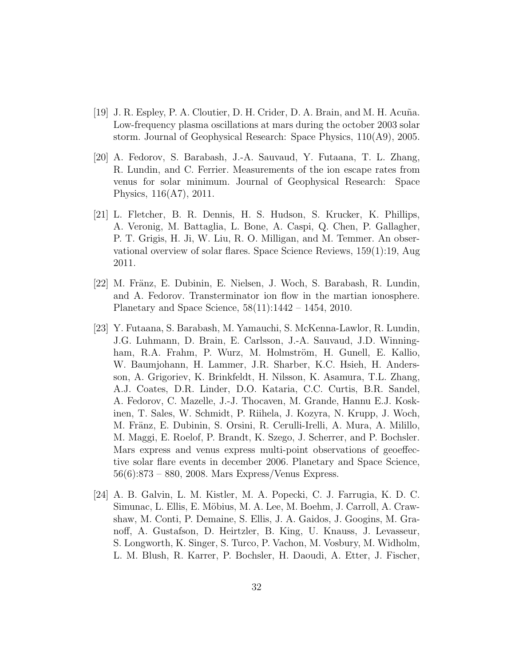- <span id="page-31-1"></span>[19] J. R. Espley, P. A. Cloutier, D. H. Crider, D. A. Brain, and M. H. Acuña. Low-frequency plasma oscillations at mars during the october 2003 solar storm. Journal of Geophysical Research: Space Physics, 110(A9), 2005.
- <span id="page-31-5"></span>[20] A. Fedorov, S. Barabash, J.-A. Sauvaud, Y. Futaana, T. L. Zhang, R. Lundin, and C. Ferrier. Measurements of the ion escape rates from venus for solar minimum. Journal of Geophysical Research: Space Physics, 116(A7), 2011.
- <span id="page-31-0"></span>[21] L. Fletcher, B. R. Dennis, H. S. Hudson, S. Krucker, K. Phillips, A. Veronig, M. Battaglia, L. Bone, A. Caspi, Q. Chen, P. Gallagher, P. T. Grigis, H. Ji, W. Liu, R. O. Milligan, and M. Temmer. An observational overview of solar flares. Space Science Reviews, 159(1):19, Aug 2011.
- <span id="page-31-4"></span>[22] M. Fränz, E. Dubinin, E. Nielsen, J. Woch, S. Barabash, R. Lundin, and A. Fedorov. Transterminator ion flow in the martian ionosphere. Planetary and Space Science, 58(11):1442 – 1454, 2010.
- <span id="page-31-2"></span>[23] Y. Futaana, S. Barabash, M. Yamauchi, S. McKenna-Lawlor, R. Lundin, J.G. Luhmann, D. Brain, E. Carlsson, J.-A. Sauvaud, J.D. Winningham, R.A. Frahm, P. Wurz, M. Holmström, H. Gunell, E. Kallio, W. Baumjohann, H. Lammer, J.R. Sharber, K.C. Hsieh, H. Andersson, A. Grigoriev, K. Brinkfeldt, H. Nilsson, K. Asamura, T.L. Zhang, A.J. Coates, D.R. Linder, D.O. Kataria, C.C. Curtis, B.R. Sandel, A. Fedorov, C. Mazelle, J.-J. Thocaven, M. Grande, Hannu E.J. Koskinen, T. Sales, W. Schmidt, P. Riihela, J. Kozyra, N. Krupp, J. Woch, M. Fränz, E. Dubinin, S. Orsini, R. Cerulli-Irelli, A. Mura, A. Milillo, M. Maggi, E. Roelof, P. Brandt, K. Szego, J. Scherrer, and P. Bochsler. Mars express and venus express multi-point observations of geoeffective solar flare events in december 2006. Planetary and Space Science, 56(6):873 – 880, 2008. Mars Express/Venus Express.
- <span id="page-31-3"></span>[24] A. B. Galvin, L. M. Kistler, M. A. Popecki, C. J. Farrugia, K. D. C. Simunac, L. Ellis, E. Möbius, M. A. Lee, M. Boehm, J. Carroll, A. Crawshaw, M. Conti, P. Demaine, S. Ellis, J. A. Gaidos, J. Googins, M. Granoff, A. Gustafson, D. Heirtzler, B. King, U. Knauss, J. Levasseur, S. Longworth, K. Singer, S. Turco, P. Vachon, M. Vosbury, M. Widholm, L. M. Blush, R. Karrer, P. Bochsler, H. Daoudi, A. Etter, J. Fischer,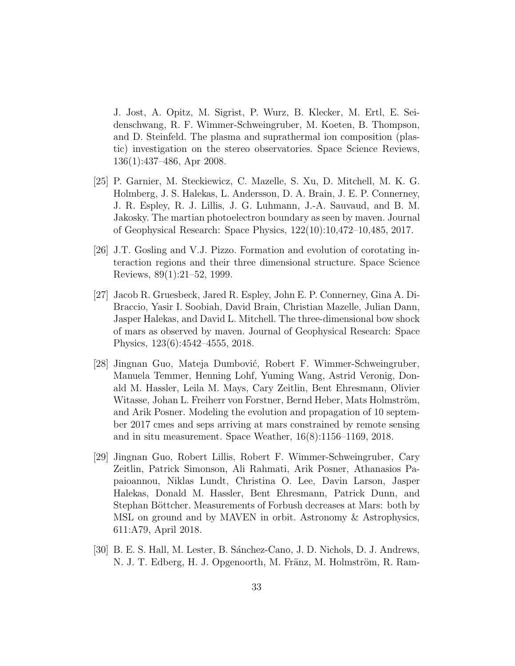J. Jost, A. Opitz, M. Sigrist, P. Wurz, B. Klecker, M. Ertl, E. Seidenschwang, R. F. Wimmer-Schweingruber, M. Koeten, B. Thompson, and D. Steinfeld. The plasma and suprathermal ion composition (plastic) investigation on the stereo observatories. Space Science Reviews, 136(1):437–486, Apr 2008.

- <span id="page-32-0"></span>[25] P. Garnier, M. Steckiewicz, C. Mazelle, S. Xu, D. Mitchell, M. K. G. Holmberg, J. S. Halekas, L. Andersson, D. A. Brain, J. E. P. Connerney, J. R. Espley, R. J. Lillis, J. G. Luhmann, J.-A. Sauvaud, and B. M. Jakosky. The martian photoelectron boundary as seen by maven. Journal of Geophysical Research: Space Physics, 122(10):10,472–10,485, 2017.
- <span id="page-32-1"></span>[26] J.T. Gosling and V.J. Pizzo. Formation and evolution of corotating interaction regions and their three dimensional structure. Space Science Reviews, 89(1):21–52, 1999.
- <span id="page-32-5"></span>[27] Jacob R. Gruesbeck, Jared R. Espley, John E. P. Connerney, Gina A. Di-Braccio, Yasir I. Soobiah, David Brain, Christian Mazelle, Julian Dann, Jasper Halekas, and David L. Mitchell. The three-dimensional bow shock of mars as observed by maven. Journal of Geophysical Research: Space Physics, 123(6):4542–4555, 2018.
- <span id="page-32-2"></span>[28] Jingnan Guo, Mateja Dumbović, Robert F. Wimmer-Schweingruber, Manuela Temmer, Henning Lohf, Yuming Wang, Astrid Veronig, Donald M. Hassler, Leila M. Mays, Cary Zeitlin, Bent Ehresmann, Olivier Witasse, Johan L. Freiherr von Forstner, Bernd Heber, Mats Holmström, and Arik Posner. Modeling the evolution and propagation of 10 september 2017 cmes and seps arriving at mars constrained by remote sensing and in situ measurement. Space Weather, 16(8):1156–1169, 2018.
- <span id="page-32-3"></span>[29] Jingnan Guo, Robert Lillis, Robert F. Wimmer-Schweingruber, Cary Zeitlin, Patrick Simonson, Ali Rahmati, Arik Posner, Athanasios Papaioannou, Niklas Lundt, Christina O. Lee, Davin Larson, Jasper Halekas, Donald M. Hassler, Bent Ehresmann, Patrick Dunn, and Stephan Böttcher. Measurements of Forbush decreases at Mars: both by MSL on ground and by MAVEN in orbit. Astronomy & Astrophysics, 611:A79, April 2018.
- <span id="page-32-4"></span>[30] B. E. S. Hall, M. Lester, B. Sánchez-Cano, J. D. Nichols, D. J. Andrews, N. J. T. Edberg, H. J. Opgenoorth, M. Fränz, M. Holmström, R. Ram-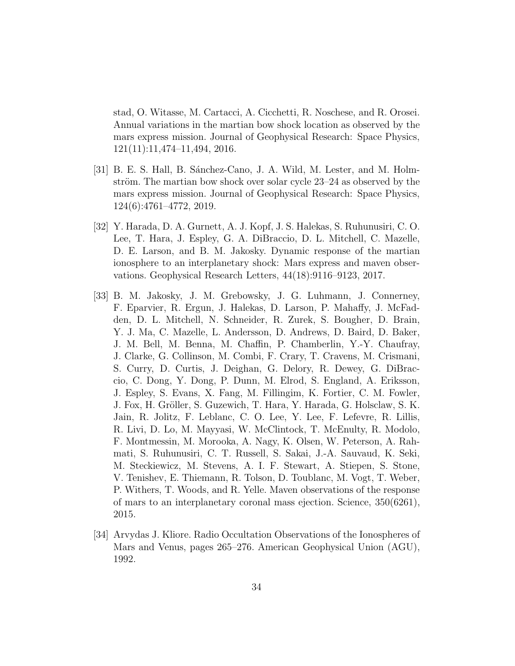stad, O. Witasse, M. Cartacci, A. Cicchetti, R. Noschese, and R. Orosei. Annual variations in the martian bow shock location as observed by the mars express mission. Journal of Geophysical Research: Space Physics, 121(11):11,474–11,494, 2016.

- <span id="page-33-3"></span>[31] B. E. S. Hall, B. Sánchez-Cano, J. A. Wild, M. Lester, and M. Holmström. The martian bow shock over solar cycle  $23-24$  as observed by the mars express mission. Journal of Geophysical Research: Space Physics, 124(6):4761–4772, 2019.
- <span id="page-33-1"></span>[32] Y. Harada, D. A. Gurnett, A. J. Kopf, J. S. Halekas, S. Ruhunusiri, C. O. Lee, T. Hara, J. Espley, G. A. DiBraccio, D. L. Mitchell, C. Mazelle, D. E. Larson, and B. M. Jakosky. Dynamic response of the martian ionosphere to an interplanetary shock: Mars express and maven observations. Geophysical Research Letters, 44(18):9116–9123, 2017.
- <span id="page-33-2"></span>[33] B. M. Jakosky, J. M. Grebowsky, J. G. Luhmann, J. Connerney, F. Eparvier, R. Ergun, J. Halekas, D. Larson, P. Mahaffy, J. McFadden, D. L. Mitchell, N. Schneider, R. Zurek, S. Bougher, D. Brain, Y. J. Ma, C. Mazelle, L. Andersson, D. Andrews, D. Baird, D. Baker, J. M. Bell, M. Benna, M. Chaffin, P. Chamberlin, Y.-Y. Chaufray, J. Clarke, G. Collinson, M. Combi, F. Crary, T. Cravens, M. Crismani, S. Curry, D. Curtis, J. Deighan, G. Delory, R. Dewey, G. DiBraccio, C. Dong, Y. Dong, P. Dunn, M. Elrod, S. England, A. Eriksson, J. Espley, S. Evans, X. Fang, M. Fillingim, K. Fortier, C. M. Fowler, J. Fox, H. Gröller, S. Guzewich, T. Hara, Y. Harada, G. Holsclaw, S. K. Jain, R. Jolitz, F. Leblanc, C. O. Lee, Y. Lee, F. Lefevre, R. Lillis, R. Livi, D. Lo, M. Mayyasi, W. McClintock, T. McEnulty, R. Modolo, F. Montmessin, M. Morooka, A. Nagy, K. Olsen, W. Peterson, A. Rahmati, S. Ruhunusiri, C. T. Russell, S. Sakai, J.-A. Sauvaud, K. Seki, M. Steckiewicz, M. Stevens, A. I. F. Stewart, A. Stiepen, S. Stone, V. Tenishev, E. Thiemann, R. Tolson, D. Toublanc, M. Vogt, T. Weber, P. Withers, T. Woods, and R. Yelle. Maven observations of the response of mars to an interplanetary coronal mass ejection. Science, 350(6261), 2015.
- <span id="page-33-0"></span>[34] Arvydas J. Kliore. Radio Occultation Observations of the Ionospheres of Mars and Venus, pages 265–276. American Geophysical Union (AGU), 1992.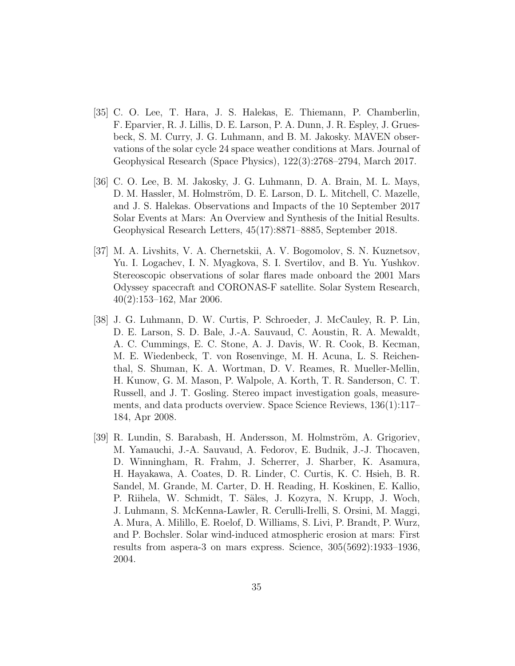- <span id="page-34-1"></span>[35] C. O. Lee, T. Hara, J. S. Halekas, E. Thiemann, P. Chamberlin, F. Eparvier, R. J. Lillis, D. E. Larson, P. A. Dunn, J. R. Espley, J. Gruesbeck, S. M. Curry, J. G. Luhmann, and B. M. Jakosky. MAVEN observations of the solar cycle 24 space weather conditions at Mars. Journal of Geophysical Research (Space Physics), 122(3):2768–2794, March 2017.
- <span id="page-34-2"></span>[36] C. O. Lee, B. M. Jakosky, J. G. Luhmann, D. A. Brain, M. L. Mays, D. M. Hassler, M. Holmström, D. E. Larson, D. L. Mitchell, C. Mazelle, and J. S. Halekas. Observations and Impacts of the 10 September 2017 Solar Events at Mars: An Overview and Synthesis of the Initial Results. Geophysical Research Letters, 45(17):8871–8885, September 2018.
- <span id="page-34-4"></span>[37] M. A. Livshits, V. A. Chernetskii, A. V. Bogomolov, S. N. Kuznetsov, Yu. I. Logachev, I. N. Myagkova, S. I. Svertilov, and B. Yu. Yushkov. Stereoscopic observations of solar flares made onboard the 2001 Mars Odyssey spacecraft and CORONAS-F satellite. Solar System Research, 40(2):153–162, Mar 2006.
- <span id="page-34-3"></span>[38] J. G. Luhmann, D. W. Curtis, P. Schroeder, J. McCauley, R. P. Lin, D. E. Larson, S. D. Bale, J.-A. Sauvaud, C. Aoustin, R. A. Mewaldt, A. C. Cummings, E. C. Stone, A. J. Davis, W. R. Cook, B. Kecman, M. E. Wiedenbeck, T. von Rosenvinge, M. H. Acuna, L. S. Reichenthal, S. Shuman, K. A. Wortman, D. V. Reames, R. Mueller-Mellin, H. Kunow, G. M. Mason, P. Walpole, A. Korth, T. R. Sanderson, C. T. Russell, and J. T. Gosling. Stereo impact investigation goals, measurements, and data products overview. Space Science Reviews, 136(1):117– 184, Apr 2008.
- <span id="page-34-0"></span>[39] R. Lundin, S. Barabash, H. Andersson, M. Holmström, A. Grigoriev, M. Yamauchi, J.-A. Sauvaud, A. Fedorov, E. Budnik, J.-J. Thocaven, D. Winningham, R. Frahm, J. Scherrer, J. Sharber, K. Asamura, H. Hayakawa, A. Coates, D. R. Linder, C. Curtis, K. C. Hsieh, B. R. Sandel, M. Grande, M. Carter, D. H. Reading, H. Koskinen, E. Kallio, P. Riihela, W. Schmidt, T. Säles, J. Kozyra, N. Krupp, J. Woch, J. Luhmann, S. McKenna-Lawler, R. Cerulli-Irelli, S. Orsini, M. Maggi, A. Mura, A. Milillo, E. Roelof, D. Williams, S. Livi, P. Brandt, P. Wurz, and P. Bochsler. Solar wind-induced atmospheric erosion at mars: First results from aspera-3 on mars express. Science, 305(5692):1933–1936, 2004.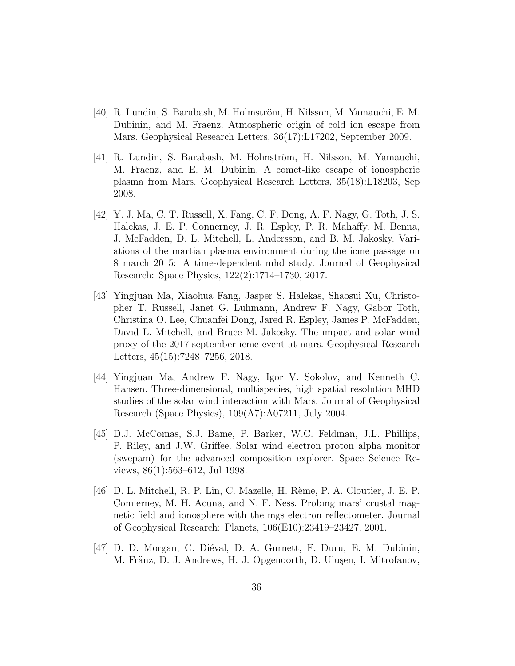- <span id="page-35-6"></span>[40] R. Lundin, S. Barabash, M. Holmström, H. Nilsson, M. Yamauchi, E. M. Dubinin, and M. Fraenz. Atmospheric origin of cold ion escape from Mars. Geophysical Research Letters, 36(17):L17202, September 2009.
- <span id="page-35-5"></span>[41] R. Lundin, S. Barabash, M. Holmström, H. Nilsson, M. Yamauchi, M. Fraenz, and E. M. Dubinin. A comet-like escape of ionospheric plasma from Mars. Geophysical Research Letters, 35(18):L18203, Sep 2008.
- <span id="page-35-2"></span>[42] Y. J. Ma, C. T. Russell, X. Fang, C. F. Dong, A. F. Nagy, G. Toth, J. S. Halekas, J. E. P. Connerney, J. R. Espley, P. R. Mahaffy, M. Benna, J. McFadden, D. L. Mitchell, L. Andersson, and B. M. Jakosky. Variations of the martian plasma environment during the icme passage on 8 march 2015: A time-dependent mhd study. Journal of Geophysical Research: Space Physics, 122(2):1714–1730, 2017.
- <span id="page-35-3"></span>[43] Yingjuan Ma, Xiaohua Fang, Jasper S. Halekas, Shaosui Xu, Christopher T. Russell, Janet G. Luhmann, Andrew F. Nagy, Gabor Toth, Christina O. Lee, Chuanfei Dong, Jared R. Espley, James P. McFadden, David L. Mitchell, and Bruce M. Jakosky. The impact and solar wind proxy of the 2017 september icme event at mars. Geophysical Research Letters, 45(15):7248–7256, 2018.
- <span id="page-35-7"></span>[44] Yingjuan Ma, Andrew F. Nagy, Igor V. Sokolov, and Kenneth C. Hansen. Three-dimensional, multispecies, high spatial resolution MHD studies of the solar wind interaction with Mars. Journal of Geophysical Research (Space Physics), 109(A7):A07211, July 2004.
- <span id="page-35-4"></span>[45] D.J. McComas, S.J. Bame, P. Barker, W.C. Feldman, J.L. Phillips, P. Riley, and J.W. Griffee. Solar wind electron proton alpha monitor (swepam) for the advanced composition explorer. Space Science Reviews, 86(1):563–612, Jul 1998.
- <span id="page-35-0"></span>[46] D. L. Mitchell, R. P. Lin, C. Mazelle, H. Rème, P. A. Cloutier, J. E. P. Connerney, M. H. Acuña, and N. F. Ness. Probing mars' crustal magnetic field and ionosphere with the mgs electron reflectometer. Journal of Geophysical Research: Planets, 106(E10):23419–23427, 2001.
- <span id="page-35-1"></span>[47] D. D. Morgan, C. Diéval, D. A. Gurnett, F. Duru, E. M. Dubinin, M. Fränz, D. J. Andrews, H. J. Opgenoorth, D. Uluşen, I. Mitrofanov,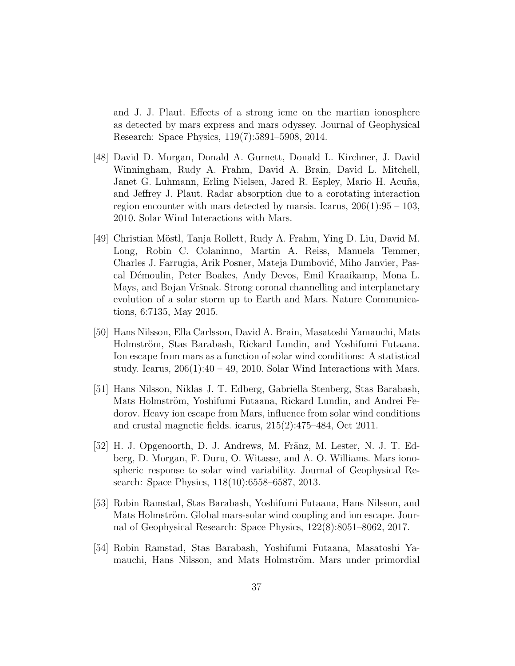and J. J. Plaut. Effects of a strong icme on the martian ionosphere as detected by mars express and mars odyssey. Journal of Geophysical Research: Space Physics, 119(7):5891–5908, 2014.

- <span id="page-36-0"></span>[48] David D. Morgan, Donald A. Gurnett, Donald L. Kirchner, J. David Winningham, Rudy A. Frahm, David A. Brain, David L. Mitchell, Janet G. Luhmann, Erling Nielsen, Jared R. Espley, Mario H. Acuña, and Jeffrey J. Plaut. Radar absorption due to a corotating interaction region encounter with mars detected by marsis. Icarus,  $206(1):95 - 103$ , 2010. Solar Wind Interactions with Mars.
- <span id="page-36-6"></span>[49] Christian M¨ostl, Tanja Rollett, Rudy A. Frahm, Ying D. Liu, David M. Long, Robin C. Colaninno, Martin A. Reiss, Manuela Temmer, Charles J. Farrugia, Arik Posner, Mateja Dumbović, Miho Janvier, Pascal Démoulin, Peter Boakes, Andy Devos, Emil Kraaikamp, Mona L. Mays, and Bojan Vršnak. Strong coronal channelling and interplanetary evolution of a solar storm up to Earth and Mars. Nature Communications, 6:7135, May 2015.
- <span id="page-36-5"></span>[50] Hans Nilsson, Ella Carlsson, David A. Brain, Masatoshi Yamauchi, Mats Holmström, Stas Barabash, Rickard Lundin, and Yoshifumi Futaana. Ion escape from mars as a function of solar wind conditions: A statistical study. Icarus,  $206(1):40 - 49$ ,  $2010$ . Solar Wind Interactions with Mars.
- <span id="page-36-2"></span>[51] Hans Nilsson, Niklas J. T. Edberg, Gabriella Stenberg, Stas Barabash, Mats Holmström, Yoshifumi Futaana, Rickard Lundin, and Andrei Fedorov. Heavy ion escape from Mars, influence from solar wind conditions and crustal magnetic fields. icarus, 215(2):475–484, Oct 2011.
- <span id="page-36-1"></span>[52] H. J. Opgenoorth, D. J. Andrews, M. Fränz, M. Lester, N. J. T. Edberg, D. Morgan, F. Duru, O. Witasse, and A. O. Williams. Mars ionospheric response to solar wind variability. Journal of Geophysical Research: Space Physics, 118(10):6558–6587, 2013.
- <span id="page-36-3"></span>[53] Robin Ramstad, Stas Barabash, Yoshifumi Futaana, Hans Nilsson, and Mats Holmström. Global mars-solar wind coupling and ion escape. Journal of Geophysical Research: Space Physics, 122(8):8051–8062, 2017.
- <span id="page-36-4"></span>[54] Robin Ramstad, Stas Barabash, Yoshifumi Futaana, Masatoshi Yamauchi, Hans Nilsson, and Mats Holmström. Mars under primordial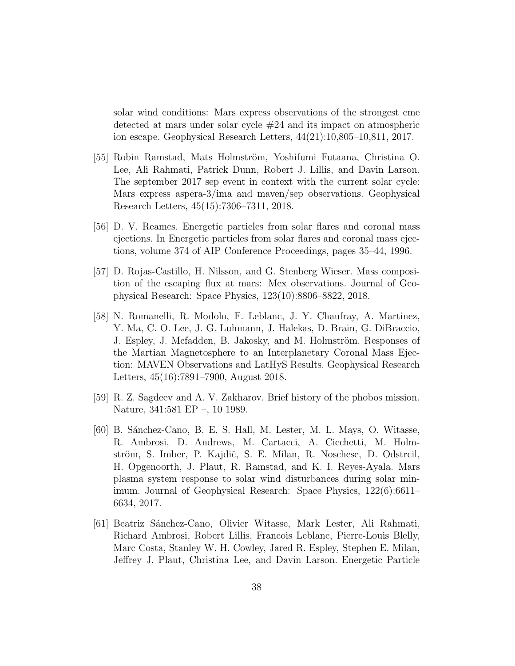solar wind conditions: Mars express observations of the strongest cme detected at mars under solar cycle #24 and its impact on atmospheric ion escape. Geophysical Research Letters, 44(21):10,805–10,811, 2017.

- <span id="page-37-2"></span>[55] Robin Ramstad, Mats Holmström, Yoshifumi Futaana, Christina O. Lee, Ali Rahmati, Patrick Dunn, Robert J. Lillis, and Davin Larson. The september 2017 sep event in context with the current solar cycle: Mars express aspera-3/ima and maven/sep observations. Geophysical Research Letters, 45(15):7306–7311, 2018.
- <span id="page-37-1"></span>[56] D. V. Reames. Energetic particles from solar flares and coronal mass ejections. In Energetic particles from solar flares and coronal mass ejections, volume 374 of AIP Conference Proceedings, pages 35–44, 1996.
- <span id="page-37-5"></span>[57] D. Rojas-Castillo, H. Nilsson, and G. Stenberg Wieser. Mass composition of the escaping flux at mars: Mex observations. Journal of Geophysical Research: Space Physics, 123(10):8806–8822, 2018.
- <span id="page-37-3"></span>[58] N. Romanelli, R. Modolo, F. Leblanc, J. Y. Chaufray, A. Martinez, Y. Ma, C. O. Lee, J. G. Luhmann, J. Halekas, D. Brain, G. DiBraccio, J. Espley, J. Mcfadden, B. Jakosky, and M. Holmström. Responses of the Martian Magnetosphere to an Interplanetary Coronal Mass Ejection: MAVEN Observations and LatHyS Results. Geophysical Research Letters, 45(16):7891–7900, August 2018.
- <span id="page-37-4"></span><span id="page-37-0"></span>[59] R. Z. Sagdeev and A. V. Zakharov. Brief history of the phobos mission. Nature, 341:581 EP –, 10 1989.
- [60] B. Sánchez-Cano, B. E. S. Hall, M. Lester, M. L. Mays, O. Witasse, R. Ambrosi, D. Andrews, M. Cartacci, A. Cicchetti, M. Holmström, S. Imber, P. Kajdič, S. E. Milan, R. Noschese, D. Odstrcil, H. Opgenoorth, J. Plaut, R. Ramstad, and K. I. Reyes-Ayala. Mars plasma system response to solar wind disturbances during solar minimum. Journal of Geophysical Research: Space Physics, 122(6):6611– 6634, 2017.
- <span id="page-37-6"></span>[61] Beatriz S´anchez-Cano, Olivier Witasse, Mark Lester, Ali Rahmati, Richard Ambrosi, Robert Lillis, Francois Leblanc, Pierre-Louis Blelly, Marc Costa, Stanley W. H. Cowley, Jared R. Espley, Stephen E. Milan, Jeffrey J. Plaut, Christina Lee, and Davin Larson. Energetic Particle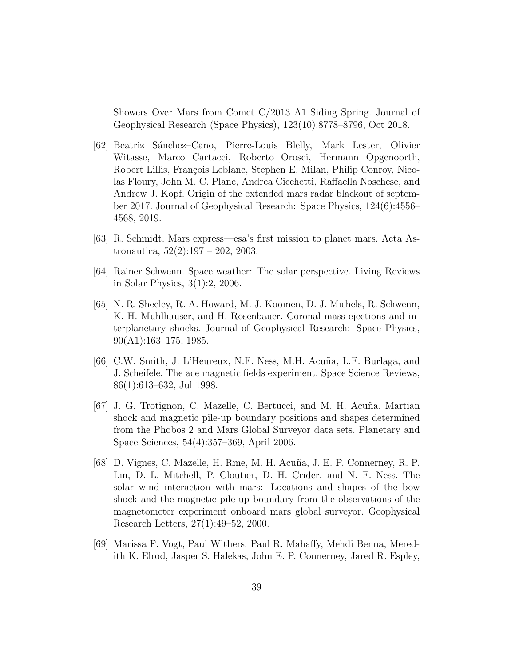Showers Over Mars from Comet C/2013 A1 Siding Spring. Journal of Geophysical Research (Space Physics), 123(10):8778–8796, Oct 2018.

- <span id="page-38-4"></span>[62] Beatriz Sánchez–Cano, Pierre-Louis Blelly, Mark Lester, Olivier Witasse, Marco Cartacci, Roberto Orosei, Hermann Opgenoorth, Robert Lillis, François Leblanc, Stephen E. Milan, Philip Conroy, Nicolas Floury, John M. C. Plane, Andrea Cicchetti, Raffaella Noschese, and Andrew J. Kopf. Origin of the extended mars radar blackout of september 2017. Journal of Geophysical Research: Space Physics, 124(6):4556– 4568, 2019.
- <span id="page-38-3"></span><span id="page-38-1"></span>[63] R. Schmidt. Mars express—esa's first mission to planet mars. Acta Astronautica, 52(2):197 – 202, 2003.
- <span id="page-38-2"></span>[64] Rainer Schwenn. Space weather: The solar perspective. Living Reviews in Solar Physics, 3(1):2, 2006.
- [65] N. R. Sheeley, R. A. Howard, M. J. Koomen, D. J. Michels, R. Schwenn, K. H. Mühlhäuser, and H. Rosenbauer. Coronal mass ejections and interplanetary shocks. Journal of Geophysical Research: Space Physics, 90(A1):163–175, 1985.
- <span id="page-38-6"></span>[66] C.W. Smith, J. L'Heureux, N.F. Ness, M.H. Acu˜na, L.F. Burlaga, and J. Scheifele. The ace magnetic fields experiment. Space Science Reviews, 86(1):613–632, Jul 1998.
- <span id="page-38-5"></span>[67] J. G. Trotignon, C. Mazelle, C. Bertucci, and M. H. Acuña. Martian shock and magnetic pile-up boundary positions and shapes determined from the Phobos 2 and Mars Global Surveyor data sets. Planetary and Space Sciences, 54(4):357–369, April 2006.
- <span id="page-38-7"></span>[68] D. Vignes, C. Mazelle, H. Rme, M. H. Acuña, J. E. P. Connerney, R. P. Lin, D. L. Mitchell, P. Cloutier, D. H. Crider, and N. F. Ness. The solar wind interaction with mars: Locations and shapes of the bow shock and the magnetic pile-up boundary from the observations of the magnetometer experiment onboard mars global surveyor. Geophysical Research Letters, 27(1):49–52, 2000.
- <span id="page-38-0"></span>[69] Marissa F. Vogt, Paul Withers, Paul R. Mahaffy, Mehdi Benna, Meredith K. Elrod, Jasper S. Halekas, John E. P. Connerney, Jared R. Espley,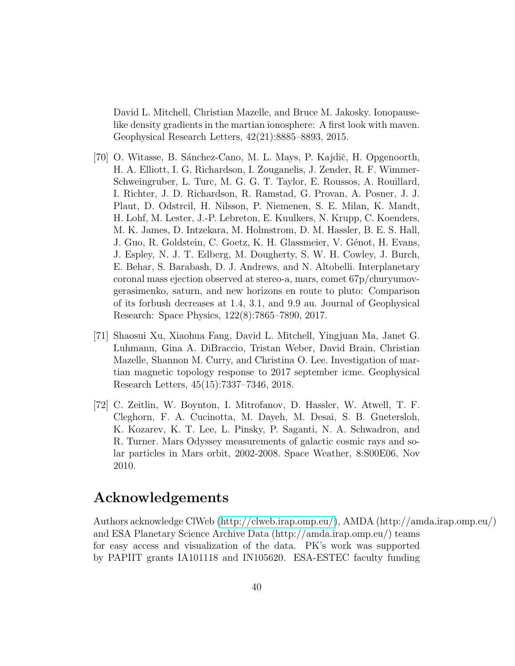David L. Mitchell, Christian Mazelle, and Bruce M. Jakosky. Ionopauselike density gradients in the martian ionosphere: A first look with maven. Geophysical Research Letters, 42(21):8885–8893, 2015.

- <span id="page-39-0"></span>[70] O. Witasse, B. Sánchez-Cano, M. L. Mays, P. Kajdič, H. Opgenoorth, H. A. Elliott, I. G. Richardson, I. Zouganelis, J. Zender, R. F. Wimmer-Schweingruber, L. Turc, M. G. G. T. Taylor, E. Roussos, A. Rouillard, I. Richter, J. D. Richardson, R. Ramstad, G. Provan, A. Posner, J. J. Plaut, D. Odstrcil, H. Nilsson, P. Niemenen, S. E. Milan, K. Mandt, H. Lohf, M. Lester, J.-P. Lebreton, E. Kuulkers, N. Krupp, C. Koenders, M. K. James, D. Intzekara, M. Holmstrom, D. M. Hassler, B. E. S. Hall, J. Guo, R. Goldstein, C. Goetz, K. H. Glassmeier, V. Génot, H. Evans, J. Espley, N. J. T. Edberg, M. Dougherty, S. W. H. Cowley, J. Burch, E. Behar, S. Barabash, D. J. Andrews, and N. Altobelli. Interplanetary coronal mass ejection observed at stereo-a, mars, comet 67p/churyumovgerasimenko, saturn, and new horizons en route to pluto: Comparison of its forbush decreases at 1.4, 3.1, and 9.9 au. Journal of Geophysical Research: Space Physics, 122(8):7865–7890, 2017.
- <span id="page-39-1"></span>[71] Shaosui Xu, Xiaohua Fang, David L. Mitchell, Yingjuan Ma, Janet G. Luhmann, Gina A. DiBraccio, Tristan Weber, David Brain, Christian Mazelle, Shannon M. Curry, and Christina O. Lee. Investigation of martian magnetic topology response to 2017 september icme. Geophysical Research Letters, 45(15):7337–7346, 2018.
- <span id="page-39-2"></span>[72] C. Zeitlin, W. Boynton, I. Mitrofanov, D. Hassler, W. Atwell, T. F. Cleghorn, F. A. Cucinotta, M. Dayeh, M. Desai, S. B. Guetersloh, K. Kozarev, K. T. Lee, L. Pinsky, P. Saganti, N. A. Schwadron, and R. Turner. Mars Odyssey measurements of galactic cosmic rays and solar particles in Mars orbit, 2002-2008. Space Weather, 8:S00E06, Nov 2010.

## Acknowledgements

Authors acknowledge ClWeb [\(http://clweb.irap.omp.eu/\)](http://clweb.irap.omp.eu/), AMDA (http://amda.irap.omp.eu/) and ESA Planetary Science Archive Data (http://amda.irap.omp.eu/) teams for easy access and visualization of the data. PK's work was supported by PAPIIT grants IA101118 and IN105620. ESA-ESTEC faculty funding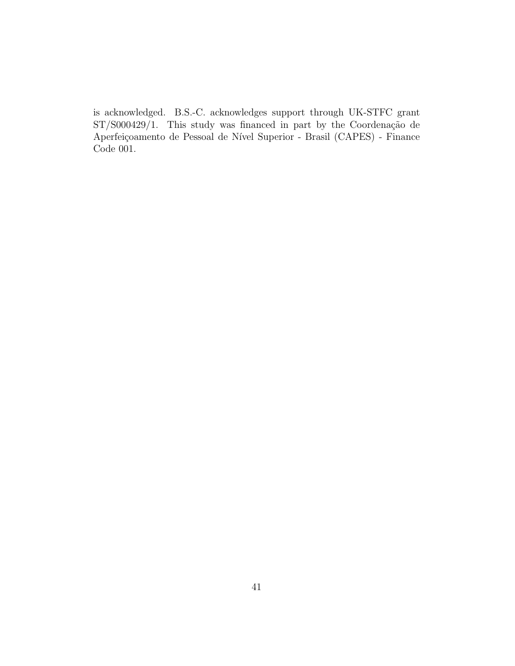is acknowledged. B.S.-C. acknowledges support through UK-STFC grant  $ST/S000429/1$ . This study was financed in part by the Coordenação de Aperfeiçoamento de Pessoal de Nível Superior - Brasil (CAPES) - Finance Code 001.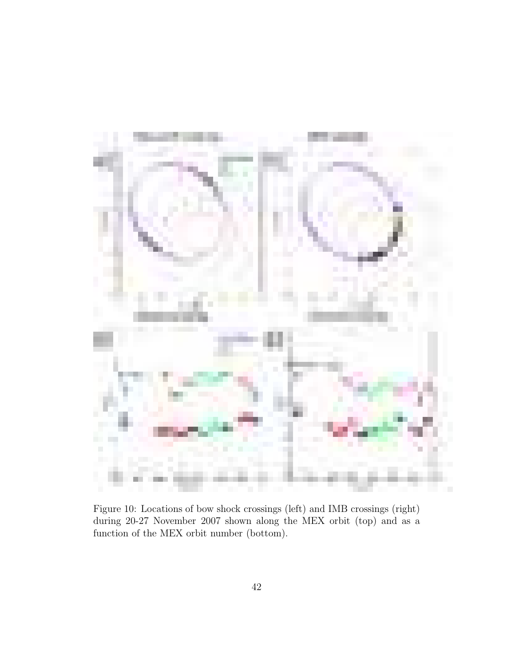

<span id="page-41-0"></span>Figure 10: Locations of bow shock crossings (left) and IMB crossings (right) during 20-27 November 2007 shown along the MEX orbit (top) and as a function of the MEX orbit number (bottom).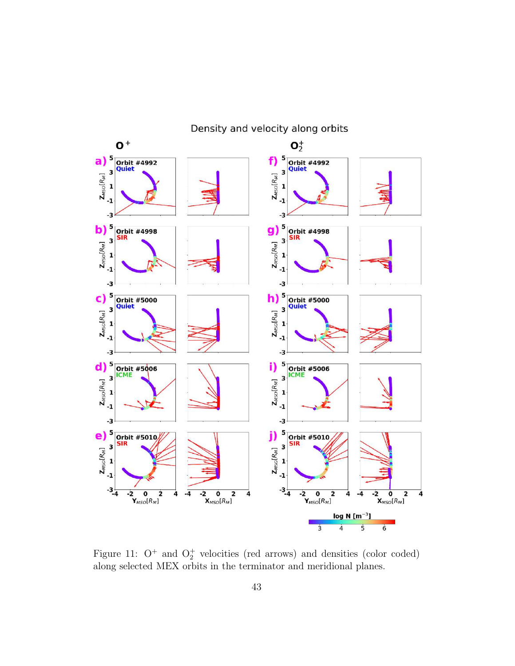

Density and velocity along orbits

<span id="page-42-0"></span>Figure 11:  $O^+$  and  $O_2^+$  velocities (red arrows) and densities (color coded) along selected MEX orbits in the terminator and meridional planes.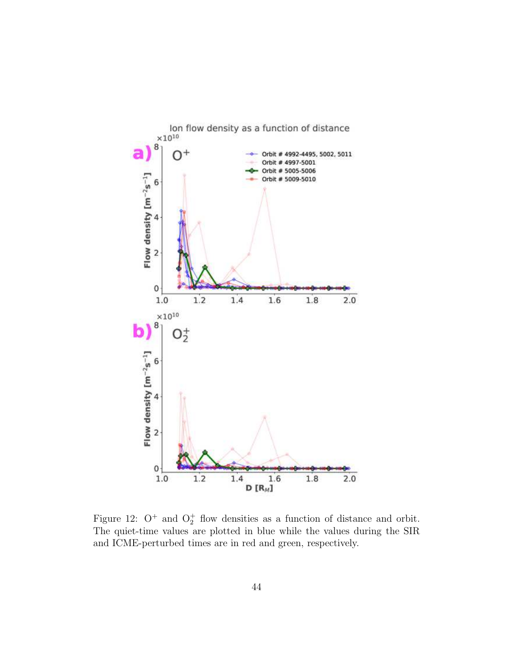

<span id="page-43-0"></span>Figure 12:  $O^+$  and  $O_2^+$  flow densities as a function of distance and orbit. The quiet-time values are plotted in blue while the values during the SIR and ICME-perturbed times are in red and green, respectively.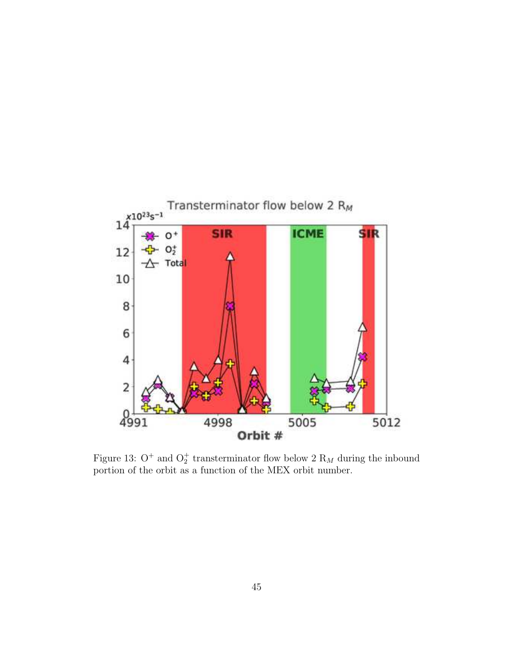

<span id="page-44-0"></span>Figure 13:  $O^+$  and  $O_2^+$  transterminator flow below 2  $R_M$  during the inbound portion of the orbit as a function of the MEX orbit number.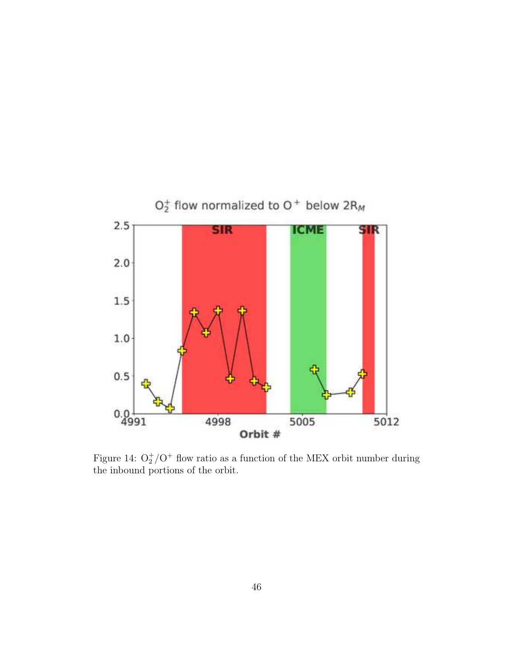

<span id="page-45-0"></span>Figure 14:  $O_2^+/O^+$  flow ratio as a function of the MEX orbit number during the inbound portions of the orbit.